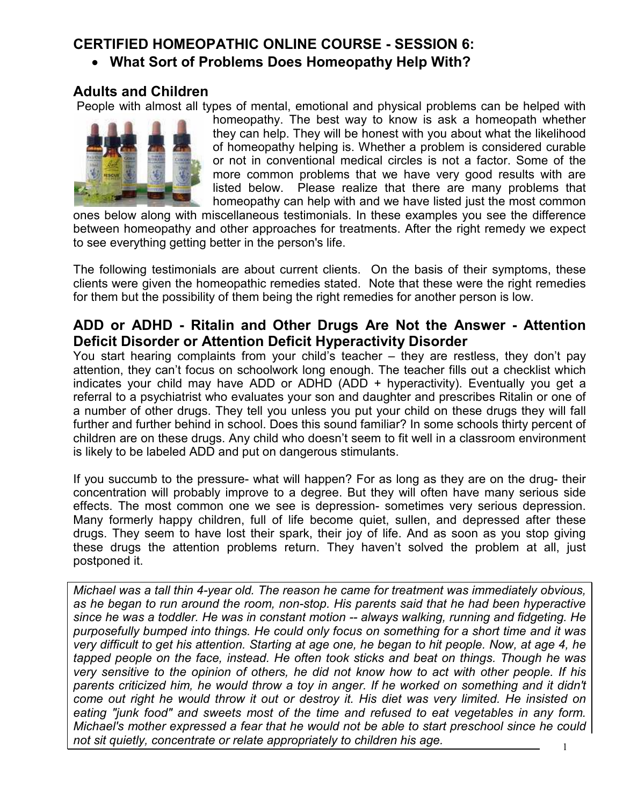# **CERTIFIED HOMEOPATHIC ONLINE COURSE - SESSION 6:**

• **What Sort of Problems Does Homeopathy Help With?** 

# **Adults and Children**

People with almost all types of mental, emotional and physical problems can be helped with



homeopathy. The best way to know is ask a homeopath whether they can help. They will be honest with you about what the likelihood of homeopathy helping is. Whether a problem is considered curable or not in conventional medical circles is not a factor. Some of the more common problems that we have very good results with are listed below. Please realize that there are many problems that homeopathy can help with and we have listed just the most common

ones below along with miscellaneous testimonials. In these examples you see the difference between homeopathy and other approaches for treatments. After the right remedy we expect to see everything getting better in the person's life.

The following testimonials are about current clients. On the basis of their symptoms, these clients were given the homeopathic remedies stated. Note that these were the right remedies for them but the possibility of them being the right remedies for another person is low.

## **ADD or ADHD - Ritalin and Other Drugs Are Not the Answer - Attention Deficit Disorder or Attention Deficit Hyperactivity Disorder**

You start hearing complaints from your child's teacher – they are restless, they don't pay attention, they can't focus on schoolwork long enough. The teacher fills out a checklist which indicates your child may have ADD or ADHD (ADD + hyperactivity). Eventually you get a referral to a psychiatrist who evaluates your son and daughter and prescribes Ritalin or one of a number of other drugs. They tell you unless you put your child on these drugs they will fall further and further behind in school. Does this sound familiar? In some schools thirty percent of children are on these drugs. Any child who doesn't seem to fit well in a classroom environment is likely to be labeled ADD and put on dangerous stimulants.

If you succumb to the pressure- what will happen? For as long as they are on the drug- their concentration will probably improve to a degree. But they will often have many serious side effects. The most common one we see is depression- sometimes very serious depression. Many formerly happy children, full of life become quiet, sullen, and depressed after these drugs. They seem to have lost their spark, their joy of life. And as soon as you stop giving these drugs the attention problems return. They haven't solved the problem at all, just postponed it.

*Michael was a tall thin 4-year old. The reason he came for treatment was immediately obvious, as he began to run around the room, non-stop. His parents said that he had been hyperactive since he was a toddler. He was in constant motion -- always walking, running and fidgeting. He purposefully bumped into things. He could only focus on something for a short time and it was very difficult to get his attention. Starting at age one, he began to hit people. Now, at age 4, he tapped people on the face, instead. He often took sticks and beat on things. Though he was very sensitive to the opinion of others, he did not know how to act with other people. If his*  parents criticized him, he would throw a toy in anger. If he worked on something and it didn't *come out right he would throw it out or destroy it. His diet was very limited. He insisted on eating "junk food" and sweets most of the time and refused to eat vegetables in any form. Michael's mother expressed a fear that he would not be able to start preschool since he could not sit quietly, concentrate or relate appropriately to children his age.*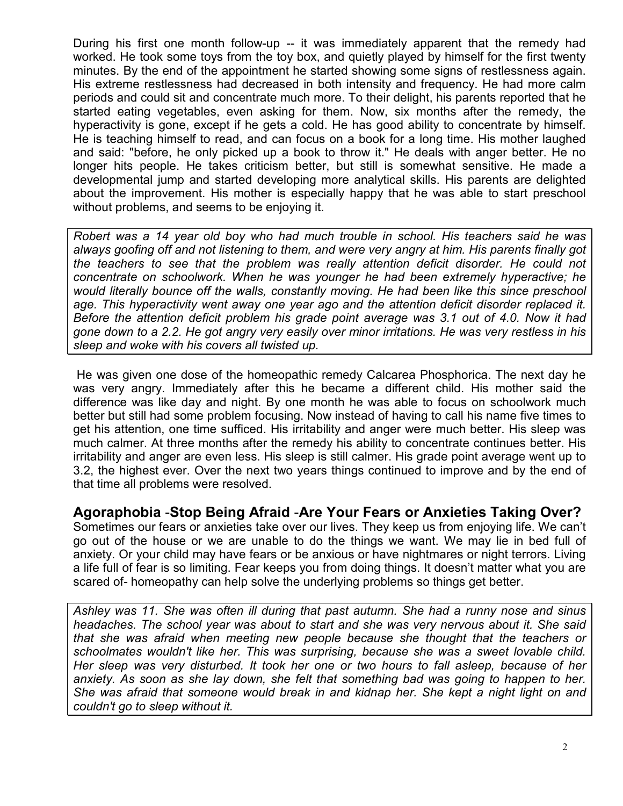During his first one month follow-up -- it was immediately apparent that the remedy had worked. He took some toys from the toy box, and quietly played by himself for the first twenty minutes. By the end of the appointment he started showing some signs of restlessness again. His extreme restlessness had decreased in both intensity and frequency. He had more calm periods and could sit and concentrate much more. To their delight, his parents reported that he started eating vegetables, even asking for them. Now, six months after the remedy, the hyperactivity is gone, except if he gets a cold. He has good ability to concentrate by himself. He is teaching himself to read, and can focus on a book for a long time. His mother laughed and said: "before, he only picked up a book to throw it." He deals with anger better. He no longer hits people. He takes criticism better, but still is somewhat sensitive. He made a developmental jump and started developing more analytical skills. His parents are delighted about the improvement. His mother is especially happy that he was able to start preschool without problems, and seems to be enjoying it.

*Robert was a 14 year old boy who had much trouble in school. His teachers said he was always goofing off and not listening to them, and were very angry at him. His parents finally got the teachers to see that the problem was really attention deficit disorder. He could not concentrate on schoolwork. When he was younger he had been extremely hyperactive; he would literally bounce off the walls, constantly moving. He had been like this since preschool age. This hyperactivity went away one year ago and the attention deficit disorder replaced it. Before the attention deficit problem his grade point average was 3.1 out of 4.0. Now it had gone down to a 2.2. He got angry very easily over minor irritations. He was very restless in his sleep and woke with his covers all twisted up.* 

 He was given one dose of the homeopathic remedy Calcarea Phosphorica. The next day he was very angry. Immediately after this he became a different child. His mother said the difference was like day and night. By one month he was able to focus on schoolwork much better but still had some problem focusing. Now instead of having to call his name five times to get his attention, one time sufficed. His irritability and anger were much better. His sleep was much calmer. At three months after the remedy his ability to concentrate continues better. His irritability and anger are even less. His sleep is still calmer. His grade point average went up to 3.2, the highest ever. Over the next two years things continued to improve and by the end of that time all problems were resolved.

## **Agoraphobia** -**Stop Being Afraid** -**Are Your Fears or Anxieties Taking Over?**

Sometimes our fears or anxieties take over our lives. They keep us from enjoying life. We can't go out of the house or we are unable to do the things we want. We may lie in bed full of anxiety. Or your child may have fears or be anxious or have nightmares or night terrors. Living a life full of fear is so limiting. Fear keeps you from doing things. It doesn't matter what you are scared of- homeopathy can help solve the underlying problems so things get better.

*Ashley was 11. She was often ill during that past autumn. She had a runny nose and sinus headaches. The school year was about to start and she was very nervous about it. She said that she was afraid when meeting new people because she thought that the teachers or schoolmates wouldn't like her. This was surprising, because she was a sweet lovable child. Her sleep was very disturbed. It took her one or two hours to fall asleep, because of her anxiety. As soon as she lay down, she felt that something bad was going to happen to her. She was afraid that someone would break in and kidnap her. She kept a night light on and couldn't go to sleep without it.*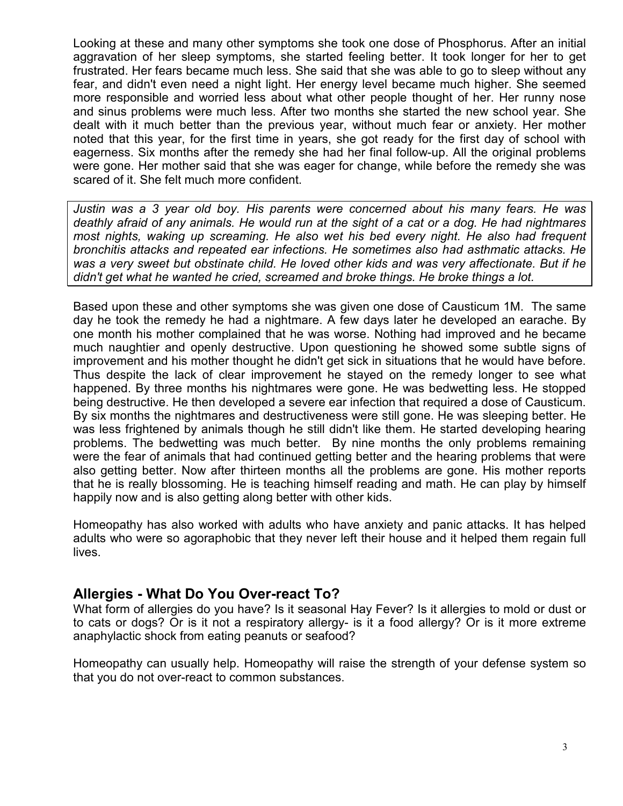Looking at these and many other symptoms she took one dose of Phosphorus. After an initial aggravation of her sleep symptoms, she started feeling better. It took longer for her to get frustrated. Her fears became much less. She said that she was able to go to sleep without any fear, and didn't even need a night light. Her energy level became much higher. She seemed more responsible and worried less about what other people thought of her. Her runny nose and sinus problems were much less. After two months she started the new school year. She dealt with it much better than the previous year, without much fear or anxiety. Her mother noted that this year, for the first time in years, she got ready for the first day of school with eagerness. Six months after the remedy she had her final follow-up. All the original problems were gone. Her mother said that she was eager for change, while before the remedy she was scared of it. She felt much more confident.

*Justin was a 3 year old boy. His parents were concerned about his many fears. He was deathly afraid of any animals. He would run at the sight of a cat or a dog. He had nightmares most nights, waking up screaming. He also wet his bed every night. He also had frequent bronchitis attacks and repeated ear infections. He sometimes also had asthmatic attacks. He was a very sweet but obstinate child. He loved other kids and was very affectionate. But if he didn't get what he wanted he cried, screamed and broke things. He broke things a lot.* 

Based upon these and other symptoms she was given one dose of Causticum 1M. The same day he took the remedy he had a nightmare. A few days later he developed an earache. By one month his mother complained that he was worse. Nothing had improved and he became much naughtier and openly destructive. Upon questioning he showed some subtle signs of improvement and his mother thought he didn't get sick in situations that he would have before. Thus despite the lack of clear improvement he stayed on the remedy longer to see what happened. By three months his nightmares were gone. He was bedwetting less. He stopped being destructive. He then developed a severe ear infection that required a dose of Causticum. By six months the nightmares and destructiveness were still gone. He was sleeping better. He was less frightened by animals though he still didn't like them. He started developing hearing problems. The bedwetting was much better. By nine months the only problems remaining were the fear of animals that had continued getting better and the hearing problems that were also getting better. Now after thirteen months all the problems are gone. His mother reports that he is really blossoming. He is teaching himself reading and math. He can play by himself happily now and is also getting along better with other kids.

Homeopathy has also worked with adults who have anxiety and panic attacks. It has helped adults who were so agoraphobic that they never left their house and it helped them regain full lives.

## **Allergies - What Do You Over-react To?**

What form of allergies do you have? Is it seasonal Hay Fever? Is it allergies to mold or dust or to cats or dogs? Or is it not a respiratory allergy- is it a food allergy? Or is it more extreme anaphylactic shock from eating peanuts or seafood?

Homeopathy can usually help. Homeopathy will raise the strength of your defense system so that you do not over-react to common substances.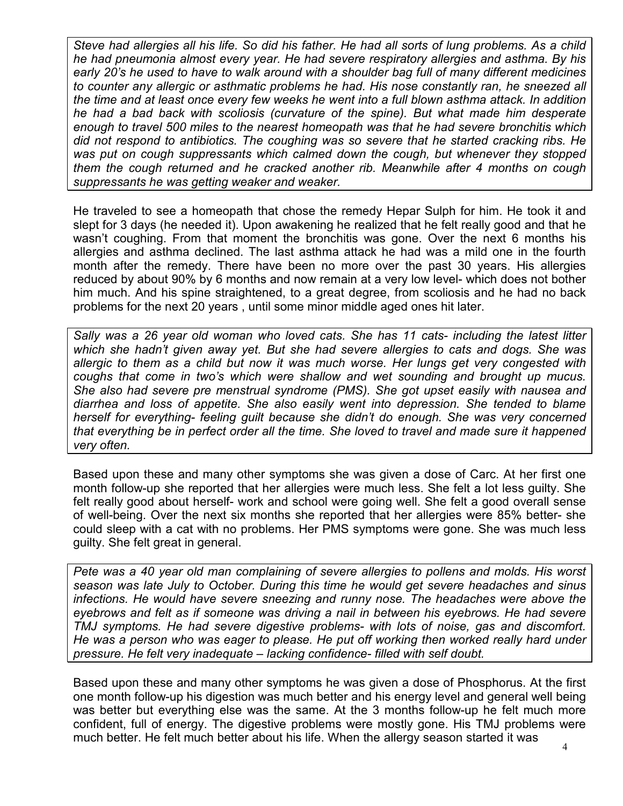*Steve had allergies all his life. So did his father. He had all sorts of lung problems. As a child he had pneumonia almost every year. He had severe respiratory allergies and asthma. By his early 20's he used to have to walk around with a shoulder bag full of many different medicines to counter any allergic or asthmatic problems he had. His nose constantly ran, he sneezed all the time and at least once every few weeks he went into a full blown asthma attack. In addition he had a bad back with scoliosis (curvature of the spine). But what made him desperate enough to travel 500 miles to the nearest homeopath was that he had severe bronchitis which did not respond to antibiotics. The coughing was so severe that he started cracking ribs. He was put on cough suppressants which calmed down the cough, but whenever they stopped them the cough returned and he cracked another rib. Meanwhile after 4 months on cough suppressants he was getting weaker and weaker.* 

He traveled to see a homeopath that chose the remedy Hepar Sulph for him. He took it and slept for 3 days (he needed it). Upon awakening he realized that he felt really good and that he wasn't coughing. From that moment the bronchitis was gone. Over the next 6 months his allergies and asthma declined. The last asthma attack he had was a mild one in the fourth month after the remedy. There have been no more over the past 30 years. His allergies reduced by about 90% by 6 months and now remain at a very low level- which does not bother him much. And his spine straightened, to a great degree, from scoliosis and he had no back problems for the next 20 years , until some minor middle aged ones hit later.

*Sally was a 26 year old woman who loved cats. She has 11 cats- including the latest litter which she hadn't given away yet. But she had severe allergies to cats and dogs. She was allergic to them as a child but now it was much worse. Her lungs get very congested with coughs that come in two's which were shallow and wet sounding and brought up mucus. She also had severe pre menstrual syndrome (PMS). She got upset easily with nausea and diarrhea and loss of appetite. She also easily went into depression. She tended to blame herself for everything- feeling guilt because she didn't do enough. She was very concerned that everything be in perfect order all the time. She loved to travel and made sure it happened very often.* 

Based upon these and many other symptoms she was given a dose of Carc. At her first one month follow-up she reported that her allergies were much less. She felt a lot less guilty. She felt really good about herself- work and school were going well. She felt a good overall sense of well-being. Over the next six months she reported that her allergies were 85% better- she could sleep with a cat with no problems. Her PMS symptoms were gone. She was much less guilty. She felt great in general.

*Pete was a 40 year old man complaining of severe allergies to pollens and molds. His worst season was late July to October. During this time he would get severe headaches and sinus infections. He would have severe sneezing and runny nose. The headaches were above the eyebrows and felt as if someone was driving a nail in between his eyebrows. He had severe TMJ symptoms. He had severe digestive problems- with lots of noise, gas and discomfort. He was a person who was eager to please. He put off working then worked really hard under pressure. He felt very inadequate – lacking confidence- filled with self doubt.* 

Based upon these and many other symptoms he was given a dose of Phosphorus. At the first one month follow-up his digestion was much better and his energy level and general well being was better but everything else was the same. At the 3 months follow-up he felt much more confident, full of energy. The digestive problems were mostly gone. His TMJ problems were much better. He felt much better about his life. When the allergy season started it was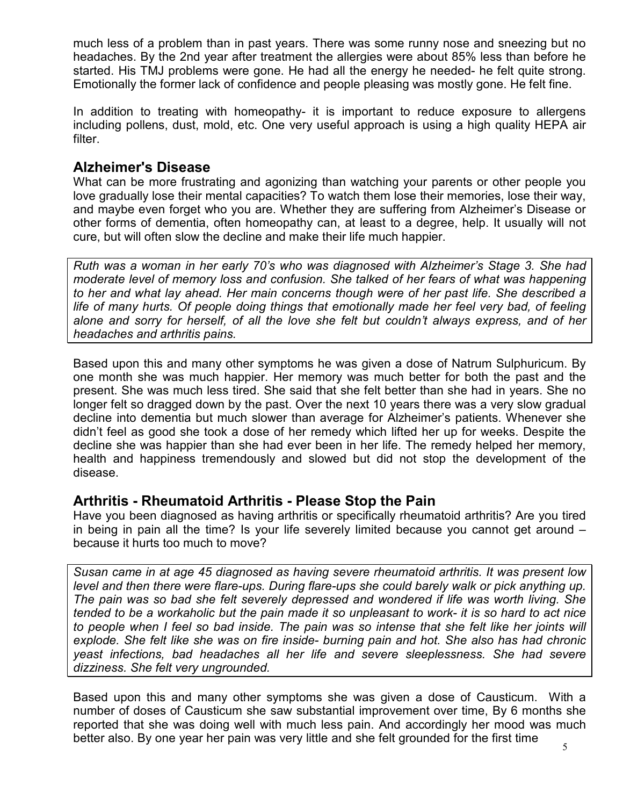much less of a problem than in past years. There was some runny nose and sneezing but no headaches. By the 2nd year after treatment the allergies were about 85% less than before he started. His TMJ problems were gone. He had all the energy he needed- he felt quite strong. Emotionally the former lack of confidence and people pleasing was mostly gone. He felt fine.

In addition to treating with homeopathy- it is important to reduce exposure to allergens including pollens, dust, mold, etc. One very useful approach is using a high quality HEPA air filter.

## **Alzheimer's Disease**

What can be more frustrating and agonizing than watching your parents or other people you love gradually lose their mental capacities? To watch them lose their memories, lose their way, and maybe even forget who you are. Whether they are suffering from Alzheimer's Disease or other forms of dementia, often homeopathy can, at least to a degree, help. It usually will not cure, but will often slow the decline and make their life much happier.

*Ruth was a woman in her early 70's who was diagnosed with Alzheimer's Stage 3. She had moderate level of memory loss and confusion. She talked of her fears of what was happening to her and what lay ahead. Her main concerns though were of her past life. She described a life of many hurts. Of people doing things that emotionally made her feel very bad, of feeling alone and sorry for herself, of all the love she felt but couldn't always express, and of her headaches and arthritis pains.* 

Based upon this and many other symptoms he was given a dose of Natrum Sulphuricum. By one month she was much happier. Her memory was much better for both the past and the present. She was much less tired. She said that she felt better than she had in years. She no longer felt so dragged down by the past. Over the next 10 years there was a very slow gradual decline into dementia but much slower than average for Alzheimer's patients. Whenever she didn't feel as good she took a dose of her remedy which lifted her up for weeks. Despite the decline she was happier than she had ever been in her life. The remedy helped her memory, health and happiness tremendously and slowed but did not stop the development of the disease.

### **Arthritis - Rheumatoid Arthritis - Please Stop the Pain**

Have you been diagnosed as having arthritis or specifically rheumatoid arthritis? Are you tired in being in pain all the time? Is your life severely limited because you cannot get around – because it hurts too much to move?

*Susan came in at age 45 diagnosed as having severe rheumatoid arthritis. It was present low level and then there were flare-ups. During flare-ups she could barely walk or pick anything up. The pain was so bad she felt severely depressed and wondered if life was worth living. She tended to be a workaholic but the pain made it so unpleasant to work- it is so hard to act nice to people when I feel so bad inside. The pain was so intense that she felt like her joints will explode. She felt like she was on fire inside- burning pain and hot. She also has had chronic yeast infections, bad headaches all her life and severe sleeplessness. She had severe dizziness. She felt very ungrounded.* 

Based upon this and many other symptoms she was given a dose of Causticum. With a number of doses of Causticum she saw substantial improvement over time, By 6 months she reported that she was doing well with much less pain. And accordingly her mood was much better also. By one year her pain was very little and she felt grounded for the first time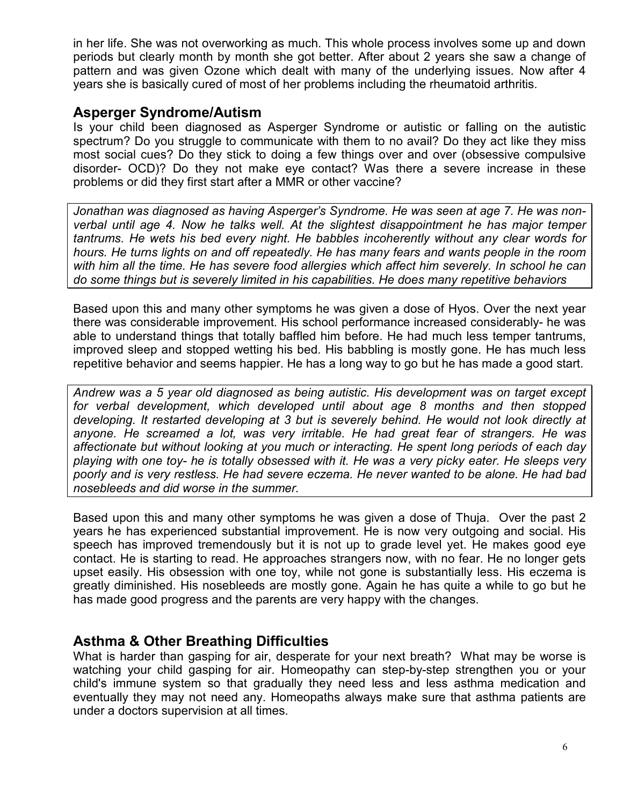in her life. She was not overworking as much. This whole process involves some up and down periods but clearly month by month she got better. After about 2 years she saw a change of pattern and was given Ozone which dealt with many of the underlying issues. Now after 4 years she is basically cured of most of her problems including the rheumatoid arthritis.

## **Asperger Syndrome/Autism**

Is your child been diagnosed as Asperger Syndrome or autistic or falling on the autistic spectrum? Do you struggle to communicate with them to no avail? Do they act like they miss most social cues? Do they stick to doing a few things over and over (obsessive compulsive disorder- OCD)? Do they not make eye contact? Was there a severe increase in these problems or did they first start after a MMR or other vaccine?

*Jonathan was diagnosed as having Asperger's Syndrome. He was seen at age 7. He was nonverbal until age 4. Now he talks well. At the slightest disappointment he has major temper tantrums. He wets his bed every night. He babbles incoherently without any clear words for hours. He turns lights on and off repeatedly. He has many fears and wants people in the room with him all the time. He has severe food allergies which affect him severely. In school he can do some things but is severely limited in his capabilities. He does many repetitive behaviors* 

Based upon this and many other symptoms he was given a dose of Hyos. Over the next year there was considerable improvement. His school performance increased considerably- he was able to understand things that totally baffled him before. He had much less temper tantrums, improved sleep and stopped wetting his bed. His babbling is mostly gone. He has much less repetitive behavior and seems happier. He has a long way to go but he has made a good start.

*Andrew was a 5 year old diagnosed as being autistic. His development was on target except for verbal development, which developed until about age 8 months and then stopped developing. It restarted developing at 3 but is severely behind. He would not look directly at anyone. He screamed a lot, was very irritable. He had great fear of strangers. He was affectionate but without looking at you much or interacting. He spent long periods of each day playing with one toy- he is totally obsessed with it. He was a very picky eater. He sleeps very poorly and is very restless. He had severe eczema. He never wanted to be alone. He had bad nosebleeds and did worse in the summer.* 

Based upon this and many other symptoms he was given a dose of Thuja. Over the past 2 years he has experienced substantial improvement. He is now very outgoing and social. His speech has improved tremendously but it is not up to grade level yet. He makes good eye contact. He is starting to read. He approaches strangers now, with no fear. He no longer gets upset easily. His obsession with one toy, while not gone is substantially less. His eczema is greatly diminished. His nosebleeds are mostly gone. Again he has quite a while to go but he has made good progress and the parents are very happy with the changes.

## **Asthma & Other Breathing Difficulties**

What is harder than gasping for air, desperate for your next breath? What may be worse is watching your child gasping for air. Homeopathy can step-by-step strengthen you or your child's immune system so that gradually they need less and less asthma medication and eventually they may not need any. Homeopaths always make sure that asthma patients are under a doctors supervision at all times.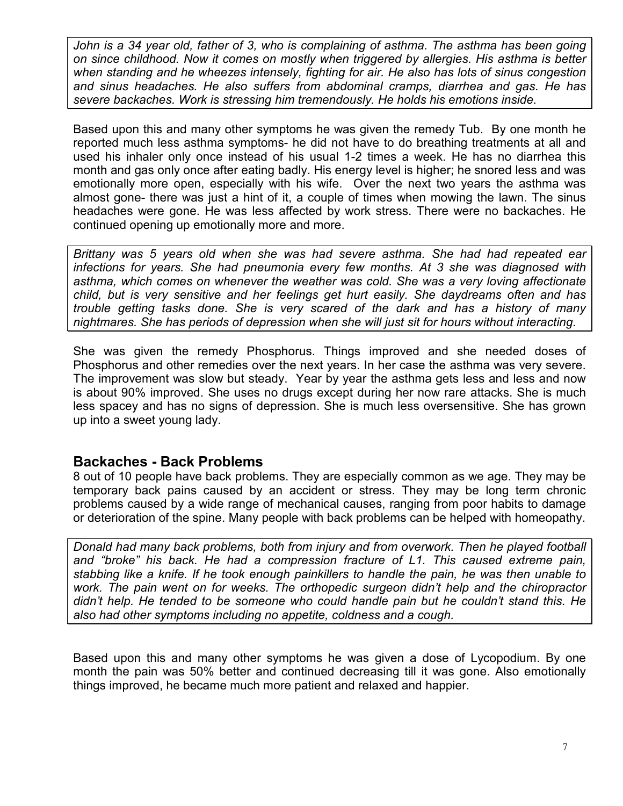John is a 34 year old, father of 3, who is complaining of asthma. The asthma has been going *on since childhood. Now it comes on mostly when triggered by allergies. His asthma is better when standing and he wheezes intensely, fighting for air. He also has lots of sinus congestion and sinus headaches. He also suffers from abdominal cramps, diarrhea and gas. He has severe backaches. Work is stressing him tremendously. He holds his emotions inside.* 

Based upon this and many other symptoms he was given the remedy Tub. By one month he reported much less asthma symptoms- he did not have to do breathing treatments at all and used his inhaler only once instead of his usual 1-2 times a week. He has no diarrhea this month and gas only once after eating badly. His energy level is higher; he snored less and was emotionally more open, especially with his wife. Over the next two years the asthma was almost gone- there was just a hint of it, a couple of times when mowing the lawn. The sinus headaches were gone. He was less affected by work stress. There were no backaches. He continued opening up emotionally more and more.

*Brittany was 5 years old when she was had severe asthma. She had had repeated ear infections for years. She had pneumonia every few months. At 3 she was diagnosed with asthma, which comes on whenever the weather was cold. She was a very loving affectionate child, but is very sensitive and her feelings get hurt easily. She daydreams often and has trouble getting tasks done. She is very scared of the dark and has a history of many nightmares. She has periods of depression when she will just sit for hours without interacting.* 

She was given the remedy Phosphorus. Things improved and she needed doses of Phosphorus and other remedies over the next years. In her case the asthma was very severe. The improvement was slow but steady. Year by year the asthma gets less and less and now is about 90% improved. She uses no drugs except during her now rare attacks. She is much less spacey and has no signs of depression. She is much less oversensitive. She has grown up into a sweet young lady.

## **Backaches - Back Problems**

8 out of 10 people have back problems. They are especially common as we age. They may be temporary back pains caused by an accident or stress. They may be long term chronic problems caused by a wide range of mechanical causes, ranging from poor habits to damage or deterioration of the spine. Many people with back problems can be helped with homeopathy.

*Donald had many back problems, both from injury and from overwork. Then he played football and "broke" his back. He had a compression fracture of L1. This caused extreme pain, stabbing like a knife. If he took enough painkillers to handle the pain, he was then unable to work. The pain went on for weeks. The orthopedic surgeon didn't help and the chiropractor didn't help. He tended to be someone who could handle pain but he couldn't stand this. He also had other symptoms including no appetite, coldness and a cough.* 

Based upon this and many other symptoms he was given a dose of Lycopodium. By one month the pain was 50% better and continued decreasing till it was gone. Also emotionally things improved, he became much more patient and relaxed and happier.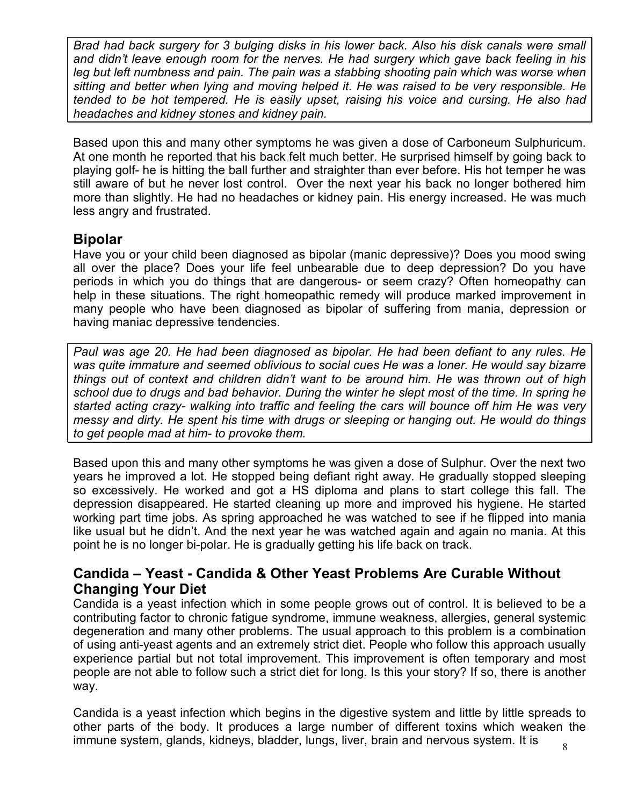*Brad had back surgery for 3 bulging disks in his lower back. Also his disk canals were small and didn't leave enough room for the nerves. He had surgery which gave back feeling in his*  leg but left numbness and pain. The pain was a stabbing shooting pain which was worse when *sitting and better when lying and moving helped it. He was raised to be very responsible. He tended to be hot tempered. He is easily upset, raising his voice and cursing. He also had headaches and kidney stones and kidney pain.* 

Based upon this and many other symptoms he was given a dose of Carboneum Sulphuricum. At one month he reported that his back felt much better. He surprised himself by going back to playing golf- he is hitting the ball further and straighter than ever before. His hot temper he was still aware of but he never lost control. Over the next year his back no longer bothered him more than slightly. He had no headaches or kidney pain. His energy increased. He was much less angry and frustrated.

## **Bipolar**

Have you or your child been diagnosed as bipolar (manic depressive)? Does you mood swing all over the place? Does your life feel unbearable due to deep depression? Do you have periods in which you do things that are dangerous- or seem crazy? Often homeopathy can help in these situations. The right homeopathic remedy will produce marked improvement in many people who have been diagnosed as bipolar of suffering from mania, depression or having maniac depressive tendencies.

*Paul was age 20. He had been diagnosed as bipolar. He had been defiant to any rules. He was quite immature and seemed oblivious to social cues He was a loner. He would say bizarre things out of context and children didn't want to be around him. He was thrown out of high school due to drugs and bad behavior. During the winter he slept most of the time. In spring he started acting crazy- walking into traffic and feeling the cars will bounce off him He was very messy and dirty. He spent his time with drugs or sleeping or hanging out. He would do things to get people mad at him- to provoke them.* 

Based upon this and many other symptoms he was given a dose of Sulphur. Over the next two years he improved a lot. He stopped being defiant right away. He gradually stopped sleeping so excessively. He worked and got a HS diploma and plans to start college this fall. The depression disappeared. He started cleaning up more and improved his hygiene. He started working part time jobs. As spring approached he was watched to see if he flipped into mania like usual but he didn't. And the next year he was watched again and again no mania. At this point he is no longer bi-polar. He is gradually getting his life back on track.

## **Candida – Yeast - Candida & Other Yeast Problems Are Curable Without Changing Your Diet**

Candida is a yeast infection which in some people grows out of control. It is believed to be a contributing factor to chronic fatigue syndrome, immune weakness, allergies, general systemic degeneration and many other problems. The usual approach to this problem is a combination of using anti-yeast agents and an extremely strict diet. People who follow this approach usually experience partial but not total improvement. This improvement is often temporary and most people are not able to follow such a strict diet for long. Is this your story? If so, there is another way.

Candida is a yeast infection which begins in the digestive system and little by little spreads to other parts of the body. It produces a large number of different toxins which weaken the immune system, glands, kidneys, bladder, lungs, liver, brain and nervous system. It is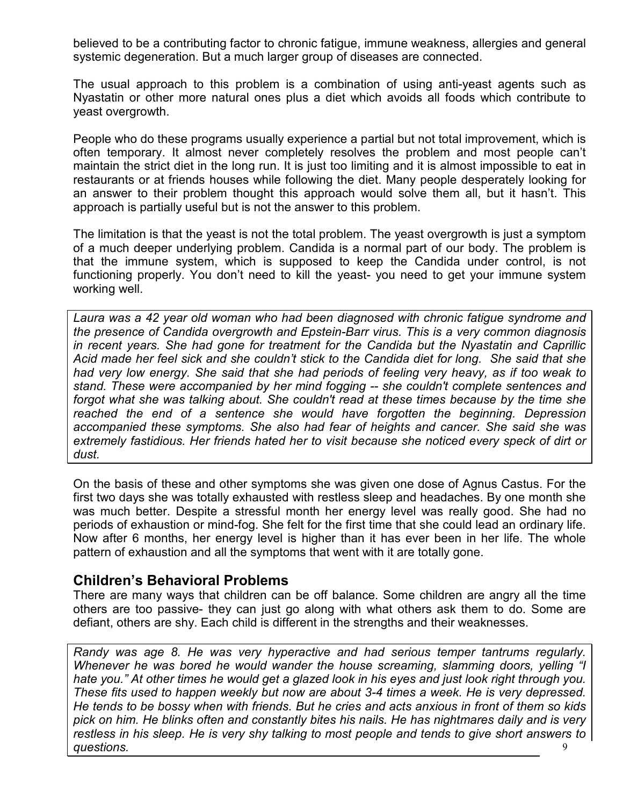believed to be a contributing factor to chronic fatigue, immune weakness, allergies and general systemic degeneration. But a much larger group of diseases are connected.

The usual approach to this problem is a combination of using anti-yeast agents such as Nyastatin or other more natural ones plus a diet which avoids all foods which contribute to yeast overgrowth.

People who do these programs usually experience a partial but not total improvement, which is often temporary. It almost never completely resolves the problem and most people can't maintain the strict diet in the long run. It is just too limiting and it is almost impossible to eat in restaurants or at friends houses while following the diet. Many people desperately looking for an answer to their problem thought this approach would solve them all, but it hasn't. This approach is partially useful but is not the answer to this problem.

The limitation is that the yeast is not the total problem. The yeast overgrowth is just a symptom of a much deeper underlying problem. Candida is a normal part of our body. The problem is that the immune system, which is supposed to keep the Candida under control, is not functioning properly. You don't need to kill the yeast- you need to get your immune system working well.

*Laura was a 42 year old woman who had been diagnosed with chronic fatigue syndrome and the presence of Candida overgrowth and Epstein-Barr virus. This is a very common diagnosis in recent years. She had gone for treatment for the Candida but the Nyastatin and Caprillic Acid made her feel sick and she couldn't stick to the Candida diet for long. She said that she had very low energy. She said that she had periods of feeling very heavy, as if too weak to stand. These were accompanied by her mind fogging -- she couldn't complete sentences and forgot what she was talking about. She couldn't read at these times because by the time she*  reached the end of a sentence she would have forgotten the beginning. Depression *accompanied these symptoms. She also had fear of heights and cancer. She said she was extremely fastidious. Her friends hated her to visit because she noticed every speck of dirt or dust.* 

On the basis of these and other symptoms she was given one dose of Agnus Castus. For the first two days she was totally exhausted with restless sleep and headaches. By one month she was much better. Despite a stressful month her energy level was really good. She had no periods of exhaustion or mind-fog. She felt for the first time that she could lead an ordinary life. Now after 6 months, her energy level is higher than it has ever been in her life. The whole pattern of exhaustion and all the symptoms that went with it are totally gone.

## **Children's Behavioral Problems**

There are many ways that children can be off balance. Some children are angry all the time others are too passive- they can just go along with what others ask them to do. Some are defiant, others are shy. Each child is different in the strengths and their weaknesses.

 $\mathbf Q$ *Randy was age 8. He was very hyperactive and had serious temper tantrums regularly. Whenever he was bored he would wander the house screaming, slamming doors, yelling "I hate you." At other times he would get a glazed look in his eyes and just look right through you. These fits used to happen weekly but now are about 3-4 times a week. He is very depressed. He tends to be bossy when with friends. But he cries and acts anxious in front of them so kids pick on him. He blinks often and constantly bites his nails. He has nightmares daily and is very restless in his sleep. He is very shy talking to most people and tends to give short answers to questions.*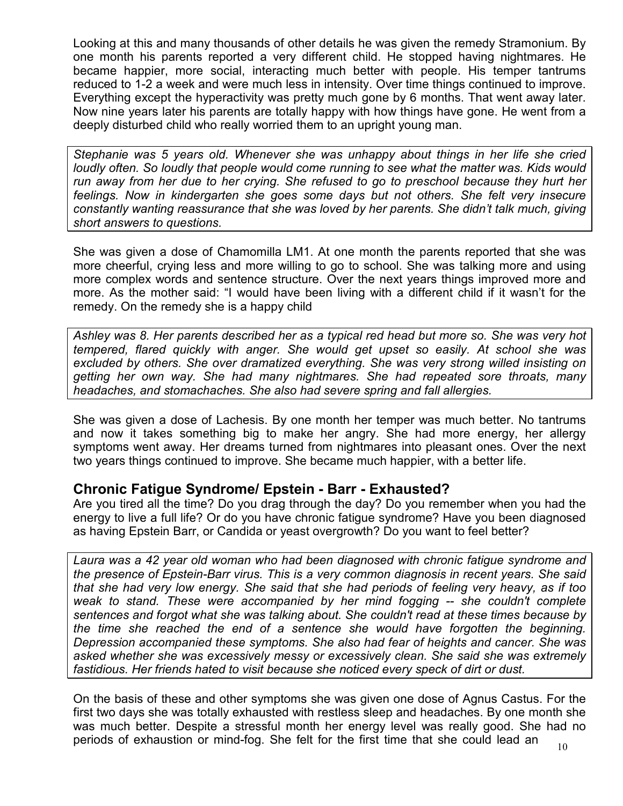Looking at this and many thousands of other details he was given the remedy Stramonium. By one month his parents reported a very different child. He stopped having nightmares. He became happier, more social, interacting much better with people. His temper tantrums reduced to 1-2 a week and were much less in intensity. Over time things continued to improve. Everything except the hyperactivity was pretty much gone by 6 months. That went away later. Now nine years later his parents are totally happy with how things have gone. He went from a deeply disturbed child who really worried them to an upright young man.

*Stephanie was 5 years old. Whenever she was unhappy about things in her life she cried loudly often. So loudly that people would come running to see what the matter was. Kids would run away from her due to her crying. She refused to go to preschool because they hurt her feelings. Now in kindergarten she goes some days but not others. She felt very insecure constantly wanting reassurance that she was loved by her parents. She didn't talk much, giving short answers to questions.* 

She was given a dose of Chamomilla LM1. At one month the parents reported that she was more cheerful, crying less and more willing to go to school. She was talking more and using more complex words and sentence structure. Over the next years things improved more and more. As the mother said: "I would have been living with a different child if it wasn't for the remedy. On the remedy she is a happy child

*Ashley was 8. Her parents described her as a typical red head but more so. She was very hot tempered, flared quickly with anger. She would get upset so easily. At school she was excluded by others. She over dramatized everything. She was very strong willed insisting on getting her own way. She had many nightmares. She had repeated sore throats, many headaches, and stomachaches. She also had severe spring and fall allergies.* 

She was given a dose of Lachesis. By one month her temper was much better. No tantrums and now it takes something big to make her angry. She had more energy, her allergy symptoms went away. Her dreams turned from nightmares into pleasant ones. Over the next two years things continued to improve. She became much happier, with a better life.

## **Chronic Fatigue Syndrome/ Epstein - Barr - Exhausted?**

Are you tired all the time? Do you drag through the day? Do you remember when you had the energy to live a full life? Or do you have chronic fatigue syndrome? Have you been diagnosed as having Epstein Barr, or Candida or yeast overgrowth? Do you want to feel better?

*Laura was a 42 year old woman who had been diagnosed with chronic fatigue syndrome and the presence of Epstein-Barr virus. This is a very common diagnosis in recent years. She said that she had very low energy. She said that she had periods of feeling very heavy, as if too weak to stand. These were accompanied by her mind fogging -- she couldn't complete sentences and forgot what she was talking about. She couldn't read at these times because by the time she reached the end of a sentence she would have forgotten the beginning. Depression accompanied these symptoms. She also had fear of heights and cancer. She was asked whether she was excessively messy or excessively clean. She said she was extremely fastidious. Her friends hated to visit because she noticed every speck of dirt or dust.* 

On the basis of these and other symptoms she was given one dose of Agnus Castus. For the first two days she was totally exhausted with restless sleep and headaches. By one month she was much better. Despite a stressful month her energy level was really good. She had no periods of exhaustion or mind-fog. She felt for the first time that she could lead an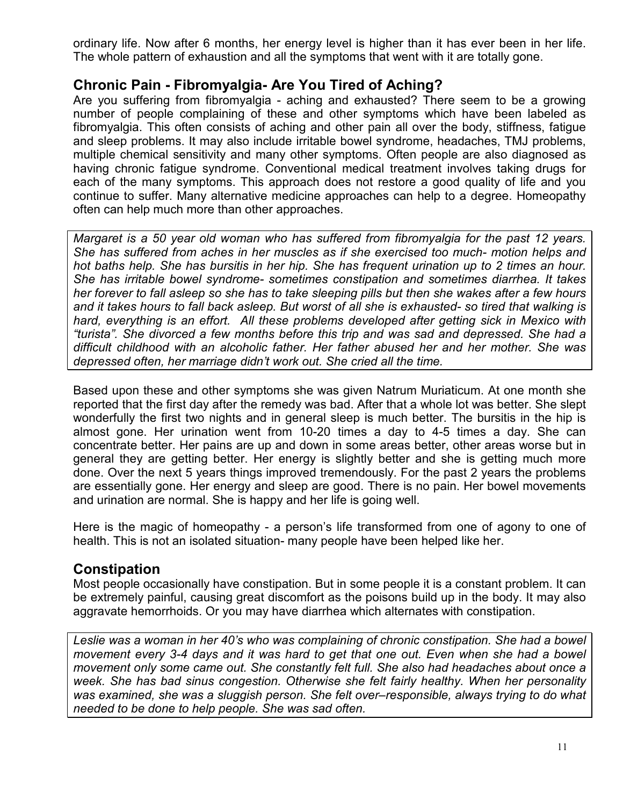ordinary life. Now after 6 months, her energy level is higher than it has ever been in her life. The whole pattern of exhaustion and all the symptoms that went with it are totally gone.

# **Chronic Pain - Fibromyalgia- Are You Tired of Aching?**

Are you suffering from fibromyalgia - aching and exhausted? There seem to be a growing number of people complaining of these and other symptoms which have been labeled as fibromyalgia. This often consists of aching and other pain all over the body, stiffness, fatigue and sleep problems. It may also include irritable bowel syndrome, headaches, TMJ problems, multiple chemical sensitivity and many other symptoms. Often people are also diagnosed as having chronic fatigue syndrome. Conventional medical treatment involves taking drugs for each of the many symptoms. This approach does not restore a good quality of life and you continue to suffer. Many alternative medicine approaches can help to a degree. Homeopathy often can help much more than other approaches.

*Margaret is a 50 year old woman who has suffered from fibromyalgia for the past 12 years. She has suffered from aches in her muscles as if she exercised too much- motion helps and hot baths help. She has bursitis in her hip. She has frequent urination up to 2 times an hour. She has irritable bowel syndrome- sometimes constipation and sometimes diarrhea. It takes her forever to fall asleep so she has to take sleeping pills but then she wakes after a few hours and it takes hours to fall back asleep. But worst of all she is exhausted- so tired that walking is hard, everything is an effort. All these problems developed after getting sick in Mexico with "turista". She divorced a few months before this trip and was sad and depressed. She had a difficult childhood with an alcoholic father. Her father abused her and her mother. She was depressed often, her marriage didn't work out. She cried all the time.* 

Based upon these and other symptoms she was given Natrum Muriaticum. At one month she reported that the first day after the remedy was bad. After that a whole lot was better. She slept wonderfully the first two nights and in general sleep is much better. The bursitis in the hip is almost gone. Her urination went from 10-20 times a day to 4-5 times a day. She can concentrate better. Her pains are up and down in some areas better, other areas worse but in general they are getting better. Her energy is slightly better and she is getting much more done. Over the next 5 years things improved tremendously. For the past 2 years the problems are essentially gone. Her energy and sleep are good. There is no pain. Her bowel movements and urination are normal. She is happy and her life is going well.

Here is the magic of homeopathy - a person's life transformed from one of agony to one of health. This is not an isolated situation- many people have been helped like her.

### **Constipation**

Most people occasionally have constipation. But in some people it is a constant problem. It can be extremely painful, causing great discomfort as the poisons build up in the body. It may also aggravate hemorrhoids. Or you may have diarrhea which alternates with constipation.

*Leslie was a woman in her 40's who was complaining of chronic constipation. She had a bowel movement every 3-4 days and it was hard to get that one out. Even when she had a bowel movement only some came out. She constantly felt full. She also had headaches about once a week. She has bad sinus congestion. Otherwise she felt fairly healthy. When her personality was examined, she was a sluggish person. She felt over–responsible, always trying to do what needed to be done to help people. She was sad often.*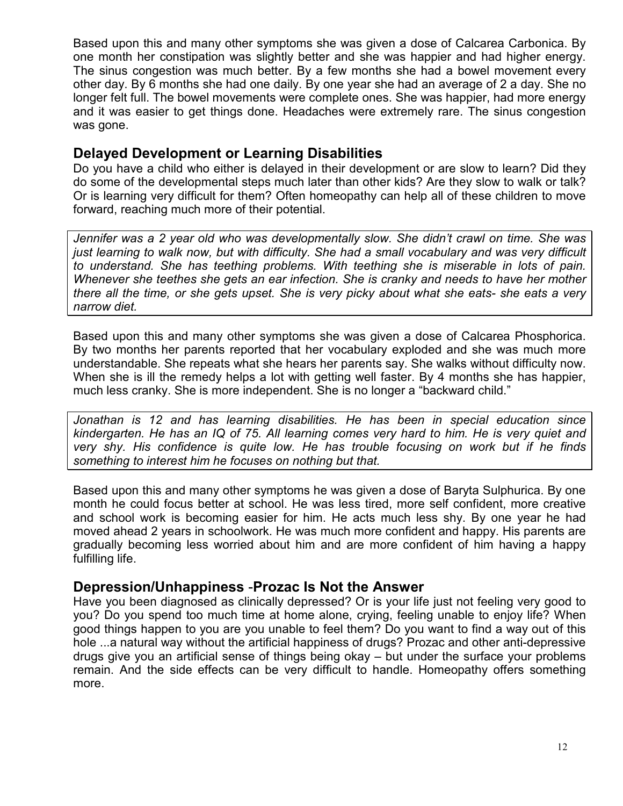Based upon this and many other symptoms she was given a dose of Calcarea Carbonica. By one month her constipation was slightly better and she was happier and had higher energy. The sinus congestion was much better. By a few months she had a bowel movement every other day. By 6 months she had one daily. By one year she had an average of 2 a day. She no longer felt full. The bowel movements were complete ones. She was happier, had more energy and it was easier to get things done. Headaches were extremely rare. The sinus congestion was gone.

## **Delayed Development or Learning Disabilities**

Do you have a child who either is delayed in their development or are slow to learn? Did they do some of the developmental steps much later than other kids? Are they slow to walk or talk? Or is learning very difficult for them? Often homeopathy can help all of these children to move forward, reaching much more of their potential.

*Jennifer was a 2 year old who was developmentally slow. She didn't crawl on time. She was just learning to walk now, but with difficulty. She had a small vocabulary and was very difficult to understand. She has teething problems. With teething she is miserable in lots of pain. Whenever she teethes she gets an ear infection. She is cranky and needs to have her mother there all the time, or she gets upset. She is very picky about what she eats- she eats a very narrow diet.* 

Based upon this and many other symptoms she was given a dose of Calcarea Phosphorica. By two months her parents reported that her vocabulary exploded and she was much more understandable. She repeats what she hears her parents say. She walks without difficulty now. When she is ill the remedy helps a lot with getting well faster. By 4 months she has happier, much less cranky. She is more independent. She is no longer a "backward child."

*Jonathan is 12 and has learning disabilities. He has been in special education since kindergarten. He has an IQ of 75. All learning comes very hard to him. He is very quiet and very shy. His confidence is quite low. He has trouble focusing on work but if he finds something to interest him he focuses on nothing but that.* 

Based upon this and many other symptoms he was given a dose of Baryta Sulphurica. By one month he could focus better at school. He was less tired, more self confident, more creative and school work is becoming easier for him. He acts much less shy. By one year he had moved ahead 2 years in schoolwork. He was much more confident and happy. His parents are gradually becoming less worried about him and are more confident of him having a happy fulfilling life.

### **Depression/Unhappiness** -**Prozac Is Not the Answer**

Have you been diagnosed as clinically depressed? Or is your life just not feeling very good to you? Do you spend too much time at home alone, crying, feeling unable to enjoy life? When good things happen to you are you unable to feel them? Do you want to find a way out of this hole ...a natural way without the artificial happiness of drugs? Prozac and other anti-depressive drugs give you an artificial sense of things being okay – but under the surface your problems remain. And the side effects can be very difficult to handle. Homeopathy offers something more.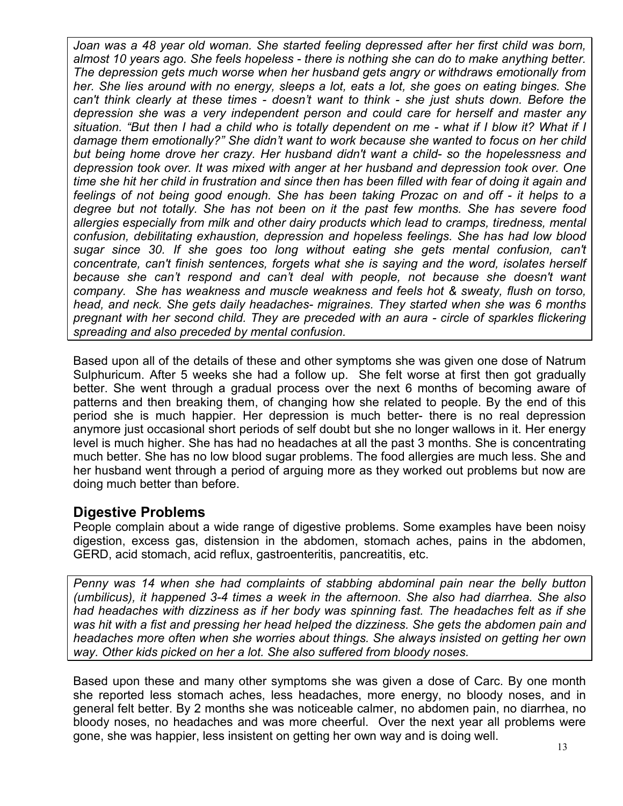*Joan was a 48 year old woman. She started feeling depressed after her first child was born, almost 10 years ago. She feels hopeless - there is nothing she can do to make anything better. The depression gets much worse when her husband gets angry or withdraws emotionally from her. She lies around with no energy, sleeps a lot, eats a lot, she goes on eating binges. She can't think clearly at these times - doesn't want to think - she just shuts down. Before the depression she was a very independent person and could care for herself and master any situation. "But then I had a child who is totally dependent on me - what if I blow it? What if I damage them emotionally?" She didn't want to work because she wanted to focus on her child but being home drove her crazy. Her husband didn't want a child- so the hopelessness and depression took over. It was mixed with anger at her husband and depression took over. One time she hit her child in frustration and since then has been filled with fear of doing it again and feelings of not being good enough. She has been taking Prozac on and off - it helps to a degree but not totally. She has not been on it the past few months. She has severe food allergies especially from milk and other dairy products which lead to cramps, tiredness, mental confusion, debilitating exhaustion, depression and hopeless feelings. She has had low blood sugar since 30. If she goes too long without eating she gets mental confusion, can't concentrate, can't finish sentences, forgets what she is saying and the word, isolates herself because she can't respond and can't deal with people, not because she doesn't want company. She has weakness and muscle weakness and feels hot & sweaty, flush on torso, head, and neck. She gets daily headaches- migraines. They started when she was 6 months pregnant with her second child. They are preceded with an aura - circle of sparkles flickering spreading and also preceded by mental confusion.* 

Based upon all of the details of these and other symptoms she was given one dose of Natrum Sulphuricum. After 5 weeks she had a follow up. She felt worse at first then got gradually better. She went through a gradual process over the next 6 months of becoming aware of patterns and then breaking them, of changing how she related to people. By the end of this period she is much happier. Her depression is much better- there is no real depression anymore just occasional short periods of self doubt but she no longer wallows in it. Her energy level is much higher. She has had no headaches at all the past 3 months. She is concentrating much better. She has no low blood sugar problems. The food allergies are much less. She and her husband went through a period of arguing more as they worked out problems but now are doing much better than before.

### **Digestive Problems**

People complain about a wide range of digestive problems. Some examples have been noisy digestion, excess gas, distension in the abdomen, stomach aches, pains in the abdomen, GERD, acid stomach, acid reflux, gastroenteritis, pancreatitis, etc.

*Penny was 14 when she had complaints of stabbing abdominal pain near the belly button (umbilicus), it happened 3-4 times a week in the afternoon. She also had diarrhea. She also had headaches with dizziness as if her body was spinning fast. The headaches felt as if she was hit with a fist and pressing her head helped the dizziness. She gets the abdomen pain and headaches more often when she worries about things. She always insisted on getting her own way. Other kids picked on her a lot. She also suffered from bloody noses.* 

Based upon these and many other symptoms she was given a dose of Carc. By one month she reported less stomach aches, less headaches, more energy, no bloody noses, and in general felt better. By 2 months she was noticeable calmer, no abdomen pain, no diarrhea, no bloody noses, no headaches and was more cheerful. Over the next year all problems were gone, she was happier, less insistent on getting her own way and is doing well.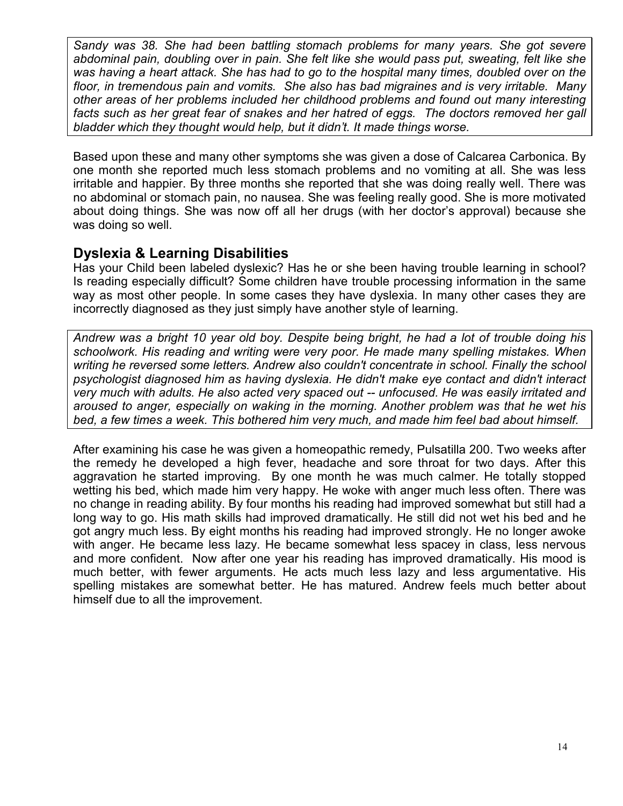*Sandy was 38. She had been battling stomach problems for many years. She got severe abdominal pain, doubling over in pain. She felt like she would pass put, sweating, felt like she was having a heart attack. She has had to go to the hospital many times, doubled over on the floor, in tremendous pain and vomits. She also has bad migraines and is very irritable. Many other areas of her problems included her childhood problems and found out many interesting facts such as her great fear of snakes and her hatred of eggs. The doctors removed her gall bladder which they thought would help, but it didn't. It made things worse.* 

Based upon these and many other symptoms she was given a dose of Calcarea Carbonica. By one month she reported much less stomach problems and no vomiting at all. She was less irritable and happier. By three months she reported that she was doing really well. There was no abdominal or stomach pain, no nausea. She was feeling really good. She is more motivated about doing things. She was now off all her drugs (with her doctor's approval) because she was doing so well.

### **Dyslexia & Learning Disabilities**

Has your Child been labeled dyslexic? Has he or she been having trouble learning in school? Is reading especially difficult? Some children have trouble processing information in the same way as most other people. In some cases they have dyslexia. In many other cases they are incorrectly diagnosed as they just simply have another style of learning.

*Andrew was a bright 10 year old boy. Despite being bright, he had a lot of trouble doing his schoolwork. His reading and writing were very poor. He made many spelling mistakes. When writing he reversed some letters. Andrew also couldn't concentrate in school. Finally the school psychologist diagnosed him as having dyslexia. He didn't make eye contact and didn't interact very much with adults. He also acted very spaced out -- unfocused. He was easily irritated and aroused to anger, especially on waking in the morning. Another problem was that he wet his bed, a few times a week. This bothered him very much, and made him feel bad about himself.* 

After examining his case he was given a homeopathic remedy, Pulsatilla 200. Two weeks after the remedy he developed a high fever, headache and sore throat for two days. After this aggravation he started improving. By one month he was much calmer. He totally stopped wetting his bed, which made him very happy. He woke with anger much less often. There was no change in reading ability. By four months his reading had improved somewhat but still had a long way to go. His math skills had improved dramatically. He still did not wet his bed and he got angry much less. By eight months his reading had improved strongly. He no longer awoke with anger. He became less lazy. He became somewhat less spacey in class, less nervous and more confident. Now after one year his reading has improved dramatically. His mood is much better, with fewer arguments. He acts much less lazy and less argumentative. His spelling mistakes are somewhat better. He has matured. Andrew feels much better about himself due to all the improvement.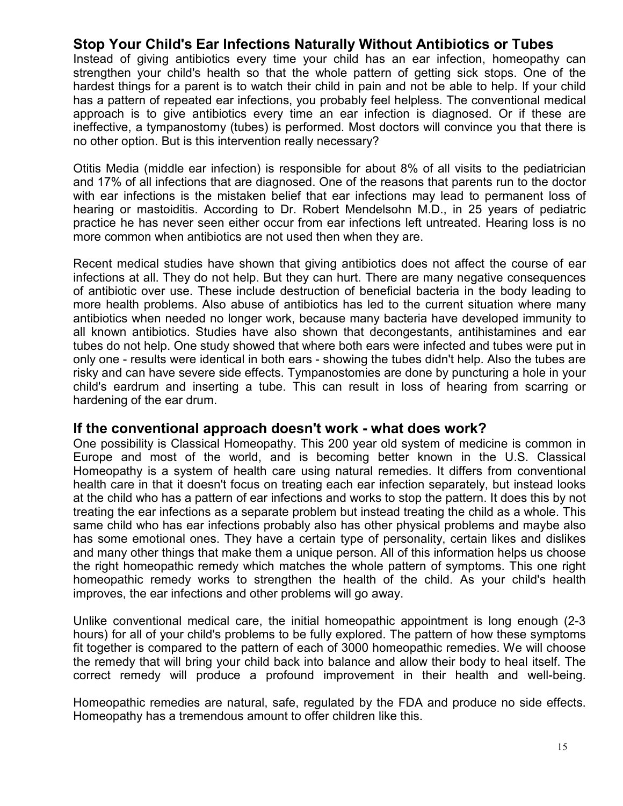## **Stop Your Child's Ear Infections Naturally Without Antibiotics or Tubes**

Instead of giving antibiotics every time your child has an ear infection, homeopathy can strengthen your child's health so that the whole pattern of getting sick stops. One of the hardest things for a parent is to watch their child in pain and not be able to help. If your child has a pattern of repeated ear infections, you probably feel helpless. The conventional medical approach is to give antibiotics every time an ear infection is diagnosed. Or if these are ineffective, a tympanostomy (tubes) is performed. Most doctors will convince you that there is no other option. But is this intervention really necessary?

Otitis Media (middle ear infection) is responsible for about 8% of all visits to the pediatrician and 17% of all infections that are diagnosed. One of the reasons that parents run to the doctor with ear infections is the mistaken belief that ear infections may lead to permanent loss of hearing or mastoiditis. According to Dr. Robert Mendelsohn M.D., in 25 years of pediatric practice he has never seen either occur from ear infections left untreated. Hearing loss is no more common when antibiotics are not used then when they are.

Recent medical studies have shown that giving antibiotics does not affect the course of ear infections at all. They do not help. But they can hurt. There are many negative consequences of antibiotic over use. These include destruction of beneficial bacteria in the body leading to more health problems. Also abuse of antibiotics has led to the current situation where many antibiotics when needed no longer work, because many bacteria have developed immunity to all known antibiotics. Studies have also shown that decongestants, antihistamines and ear tubes do not help. One study showed that where both ears were infected and tubes were put in only one - results were identical in both ears - showing the tubes didn't help. Also the tubes are risky and can have severe side effects. Tympanostomies are done by puncturing a hole in your child's eardrum and inserting a tube. This can result in loss of hearing from scarring or hardening of the ear drum.

#### **If the conventional approach doesn't work - what does work?**

One possibility is Classical Homeopathy. This 200 year old system of medicine is common in Europe and most of the world, and is becoming better known in the U.S. Classical Homeopathy is a system of health care using natural remedies. It differs from conventional health care in that it doesn't focus on treating each ear infection separately, but instead looks at the child who has a pattern of ear infections and works to stop the pattern. It does this by not treating the ear infections as a separate problem but instead treating the child as a whole. This same child who has ear infections probably also has other physical problems and maybe also has some emotional ones. They have a certain type of personality, certain likes and dislikes and many other things that make them a unique person. All of this information helps us choose the right homeopathic remedy which matches the whole pattern of symptoms. This one right homeopathic remedy works to strengthen the health of the child. As your child's health improves, the ear infections and other problems will go away.

Unlike conventional medical care, the initial homeopathic appointment is long enough (2-3 hours) for all of your child's problems to be fully explored. The pattern of how these symptoms fit together is compared to the pattern of each of 3000 homeopathic remedies. We will choose the remedy that will bring your child back into balance and allow their body to heal itself. The correct remedy will produce a profound improvement in their health and well-being.

Homeopathic remedies are natural, safe, regulated by the FDA and produce no side effects. Homeopathy has a tremendous amount to offer children like this.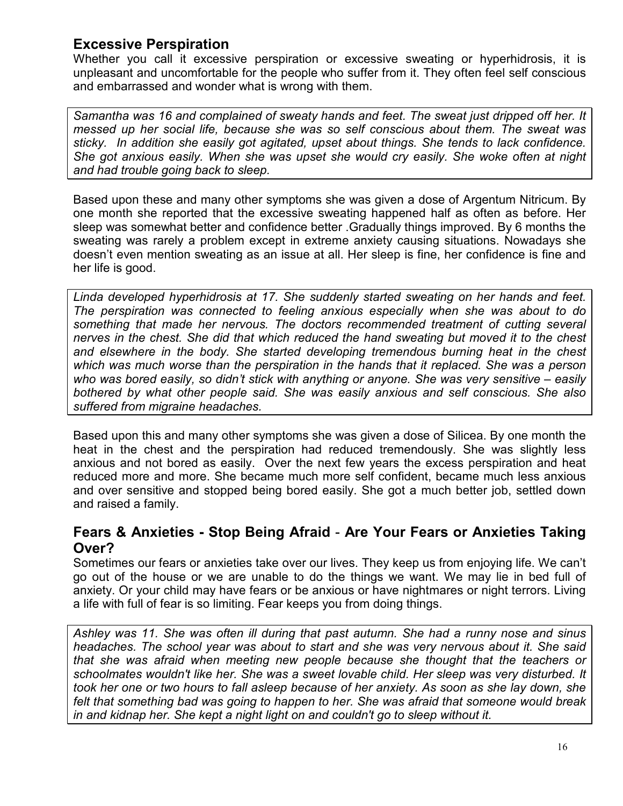# **Excessive Perspiration**

Whether you call it excessive perspiration or excessive sweating or hyperhidrosis, it is unpleasant and uncomfortable for the people who suffer from it. They often feel self conscious and embarrassed and wonder what is wrong with them.

*Samantha was 16 and complained of sweaty hands and feet. The sweat just dripped off her. It messed up her social life, because she was so self conscious about them. The sweat was sticky. In addition she easily got agitated, upset about things. She tends to lack confidence. She got anxious easily. When she was upset she would cry easily. She woke often at night and had trouble going back to sleep.* 

Based upon these and many other symptoms she was given a dose of Argentum Nitricum. By one month she reported that the excessive sweating happened half as often as before. Her sleep was somewhat better and confidence better .Gradually things improved. By 6 months the sweating was rarely a problem except in extreme anxiety causing situations. Nowadays she doesn't even mention sweating as an issue at all. Her sleep is fine, her confidence is fine and her life is good.

*Linda developed hyperhidrosis at 17. She suddenly started sweating on her hands and feet. The perspiration was connected to feeling anxious especially when she was about to do something that made her nervous. The doctors recommended treatment of cutting several nerves in the chest. She did that which reduced the hand sweating but moved it to the chest*  and elsewhere in the body. She started developing tremendous burning heat in the chest *which was much worse than the perspiration in the hands that it replaced. She was a person who was bored easily, so didn't stick with anything or anyone. She was very sensitive – easily bothered by what other people said. She was easily anxious and self conscious. She also suffered from migraine headaches.* 

Based upon this and many other symptoms she was given a dose of Silicea. By one month the heat in the chest and the perspiration had reduced tremendously. She was slightly less anxious and not bored as easily. Over the next few years the excess perspiration and heat reduced more and more. She became much more self confident, became much less anxious and over sensitive and stopped being bored easily. She got a much better job, settled down and raised a family.

## **Fears & Anxieties - Stop Being Afraid** - **Are Your Fears or Anxieties Taking Over?**

Sometimes our fears or anxieties take over our lives. They keep us from enjoying life. We can't go out of the house or we are unable to do the things we want. We may lie in bed full of anxiety. Or your child may have fears or be anxious or have nightmares or night terrors. Living a life with full of fear is so limiting. Fear keeps you from doing things.

*Ashley was 11. She was often ill during that past autumn. She had a runny nose and sinus headaches. The school year was about to start and she was very nervous about it. She said that she was afraid when meeting new people because she thought that the teachers or schoolmates wouldn't like her. She was a sweet lovable child. Her sleep was very disturbed. It took her one or two hours to fall asleep because of her anxiety. As soon as she lay down, she felt that something bad was going to happen to her. She was afraid that someone would break in and kidnap her. She kept a night light on and couldn't go to sleep without it.*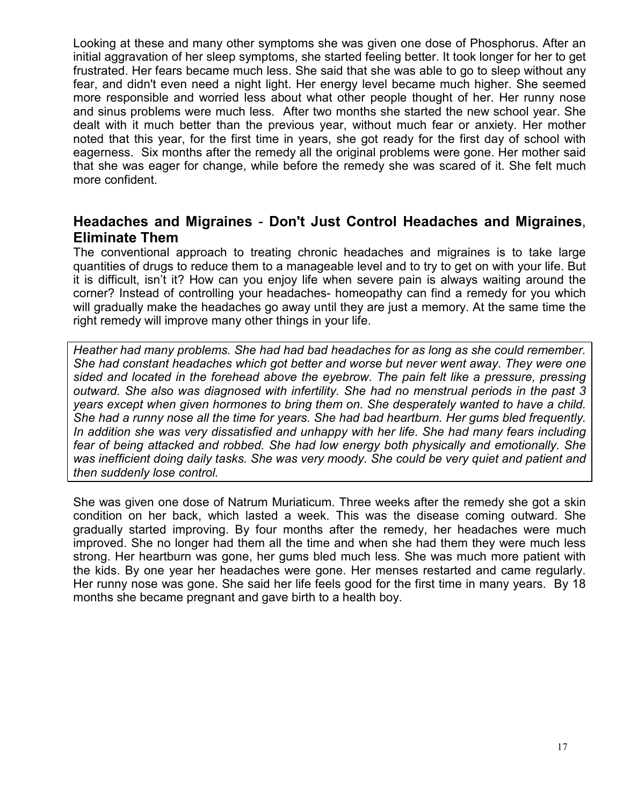Looking at these and many other symptoms she was given one dose of Phosphorus. After an initial aggravation of her sleep symptoms, she started feeling better. It took longer for her to get frustrated. Her fears became much less. She said that she was able to go to sleep without any fear, and didn't even need a night light. Her energy level became much higher. She seemed more responsible and worried less about what other people thought of her. Her runny nose and sinus problems were much less. After two months she started the new school year. She dealt with it much better than the previous year, without much fear or anxiety. Her mother noted that this year, for the first time in years, she got ready for the first day of school with eagerness. Six months after the remedy all the original problems were gone. Her mother said that she was eager for change, while before the remedy she was scared of it. She felt much more confident.

## **Headaches and Migraines** - **Don't Just Control Headaches and Migraines**, **Eliminate Them**

The conventional approach to treating chronic headaches and migraines is to take large quantities of drugs to reduce them to a manageable level and to try to get on with your life. But it is difficult, isn't it? How can you enjoy life when severe pain is always waiting around the corner? Instead of controlling your headaches- homeopathy can find a remedy for you which will gradually make the headaches go away until they are just a memory. At the same time the right remedy will improve many other things in your life.

*Heather had many problems. She had had bad headaches for as long as she could remember. She had constant headaches which got better and worse but never went away. They were one sided and located in the forehead above the eyebrow. The pain felt like a pressure, pressing outward. She also was diagnosed with infertility. She had no menstrual periods in the past 3 years except when given hormones to bring them on. She desperately wanted to have a child. She had a runny nose all the time for years. She had bad heartburn. Her gums bled frequently. In addition she was very dissatisfied and unhappy with her life. She had many fears including fear of being attacked and robbed. She had low energy both physically and emotionally. She was inefficient doing daily tasks. She was very moody. She could be very quiet and patient and then suddenly lose control.* 

She was given one dose of Natrum Muriaticum. Three weeks after the remedy she got a skin condition on her back, which lasted a week. This was the disease coming outward. She gradually started improving. By four months after the remedy, her headaches were much improved. She no longer had them all the time and when she had them they were much less strong. Her heartburn was gone, her gums bled much less. She was much more patient with the kids. By one year her headaches were gone. Her menses restarted and came regularly. Her runny nose was gone. She said her life feels good for the first time in many years. By 18 months she became pregnant and gave birth to a health boy.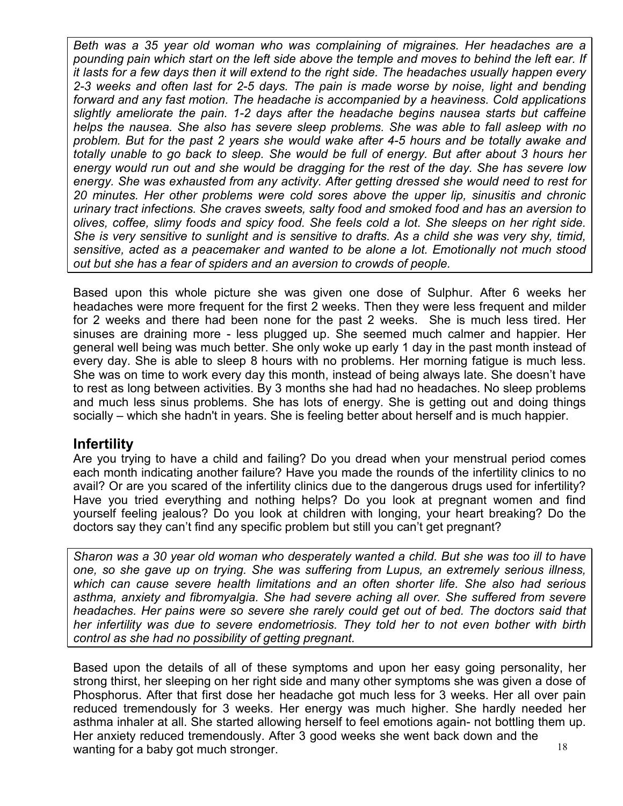*Beth was a 35 year old woman who was complaining of migraines. Her headaches are a pounding pain which start on the left side above the temple and moves to behind the left ear. If it lasts for a few days then it will extend to the right side. The headaches usually happen every 2-3 weeks and often last for 2-5 days. The pain is made worse by noise, light and bending forward and any fast motion. The headache is accompanied by a heaviness. Cold applications slightly ameliorate the pain. 1-2 days after the headache begins nausea starts but caffeine helps the nausea. She also has severe sleep problems. She was able to fall asleep with no problem. But for the past 2 years she would wake after 4-5 hours and be totally awake and totally unable to go back to sleep. She would be full of energy. But after about 3 hours her energy would run out and she would be dragging for the rest of the day. She has severe low energy. She was exhausted from any activity. After getting dressed she would need to rest for 20 minutes. Her other problems were cold sores above the upper lip, sinusitis and chronic urinary tract infections. She craves sweets, salty food and smoked food and has an aversion to olives, coffee, slimy foods and spicy food. She feels cold a lot. She sleeps on her right side. She is very sensitive to sunlight and is sensitive to drafts. As a child she was very shy, timid, sensitive, acted as a peacemaker and wanted to be alone a lot. Emotionally not much stood out but she has a fear of spiders and an aversion to crowds of people.* 

Based upon this whole picture she was given one dose of Sulphur. After 6 weeks her headaches were more frequent for the first 2 weeks. Then they were less frequent and milder for 2 weeks and there had been none for the past 2 weeks. She is much less tired. Her sinuses are draining more - less plugged up. She seemed much calmer and happier. Her general well being was much better. She only woke up early 1 day in the past month instead of every day. She is able to sleep 8 hours with no problems. Her morning fatigue is much less. She was on time to work every day this month, instead of being always late. She doesn't have to rest as long between activities. By 3 months she had had no headaches. No sleep problems and much less sinus problems. She has lots of energy. She is getting out and doing things socially – which she hadn't in years. She is feeling better about herself and is much happier.

## **Infertility**

Are you trying to have a child and failing? Do you dread when your menstrual period comes each month indicating another failure? Have you made the rounds of the infertility clinics to no avail? Or are you scared of the infertility clinics due to the dangerous drugs used for infertility? Have you tried everything and nothing helps? Do you look at pregnant women and find yourself feeling jealous? Do you look at children with longing, your heart breaking? Do the doctors say they can't find any specific problem but still you can't get pregnant?

*Sharon was a 30 year old woman who desperately wanted a child. But she was too ill to have one, so she gave up on trying. She was suffering from Lupus, an extremely serious illness, which can cause severe health limitations and an often shorter life. She also had serious asthma, anxiety and fibromyalgia. She had severe aching all over. She suffered from severe headaches. Her pains were so severe she rarely could get out of bed. The doctors said that her infertility was due to severe endometriosis. They told her to not even bother with birth control as she had no possibility of getting pregnant.* 

18 Based upon the details of all of these symptoms and upon her easy going personality, her strong thirst, her sleeping on her right side and many other symptoms she was given a dose of Phosphorus. After that first dose her headache got much less for 3 weeks. Her all over pain reduced tremendously for 3 weeks. Her energy was much higher. She hardly needed her asthma inhaler at all. She started allowing herself to feel emotions again- not bottling them up. Her anxiety reduced tremendously. After 3 good weeks she went back down and the wanting for a baby got much stronger.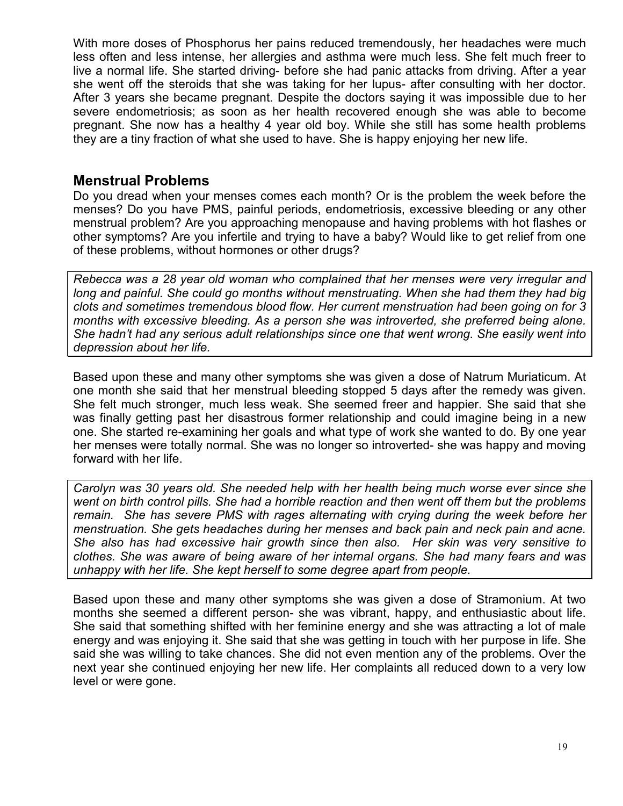With more doses of Phosphorus her pains reduced tremendously, her headaches were much less often and less intense, her allergies and asthma were much less. She felt much freer to live a normal life. She started driving- before she had panic attacks from driving. After a year she went off the steroids that she was taking for her lupus- after consulting with her doctor. After 3 years she became pregnant. Despite the doctors saying it was impossible due to her severe endometriosis; as soon as her health recovered enough she was able to become pregnant. She now has a healthy 4 year old boy. While she still has some health problems they are a tiny fraction of what she used to have. She is happy enjoying her new life.

# **Menstrual Problems**

Do you dread when your menses comes each month? Or is the problem the week before the menses? Do you have PMS, painful periods, endometriosis, excessive bleeding or any other menstrual problem? Are you approaching menopause and having problems with hot flashes or other symptoms? Are you infertile and trying to have a baby? Would like to get relief from one of these problems, without hormones or other drugs?

*Rebecca was a 28 year old woman who complained that her menses were very irregular and long and painful. She could go months without menstruating. When she had them they had big clots and sometimes tremendous blood flow. Her current menstruation had been going on for 3 months with excessive bleeding. As a person she was introverted, she preferred being alone. She hadn't had any serious adult relationships since one that went wrong. She easily went into depression about her life.* 

Based upon these and many other symptoms she was given a dose of Natrum Muriaticum. At one month she said that her menstrual bleeding stopped 5 days after the remedy was given. She felt much stronger, much less weak. She seemed freer and happier. She said that she was finally getting past her disastrous former relationship and could imagine being in a new one. She started re-examining her goals and what type of work she wanted to do. By one year her menses were totally normal. She was no longer so introverted- she was happy and moving forward with her life.

*Carolyn was 30 years old. She needed help with her health being much worse ever since she went on birth control pills. She had a horrible reaction and then went off them but the problems remain. She has severe PMS with rages alternating with crying during the week before her menstruation. She gets headaches during her menses and back pain and neck pain and acne. She also has had excessive hair growth since then also. Her skin was very sensitive to clothes. She was aware of being aware of her internal organs. She had many fears and was unhappy with her life. She kept herself to some degree apart from people.* 

Based upon these and many other symptoms she was given a dose of Stramonium. At two months she seemed a different person- she was vibrant, happy, and enthusiastic about life. She said that something shifted with her feminine energy and she was attracting a lot of male energy and was enjoying it. She said that she was getting in touch with her purpose in life. She said she was willing to take chances. She did not even mention any of the problems. Over the next year she continued enjoying her new life. Her complaints all reduced down to a very low level or were gone.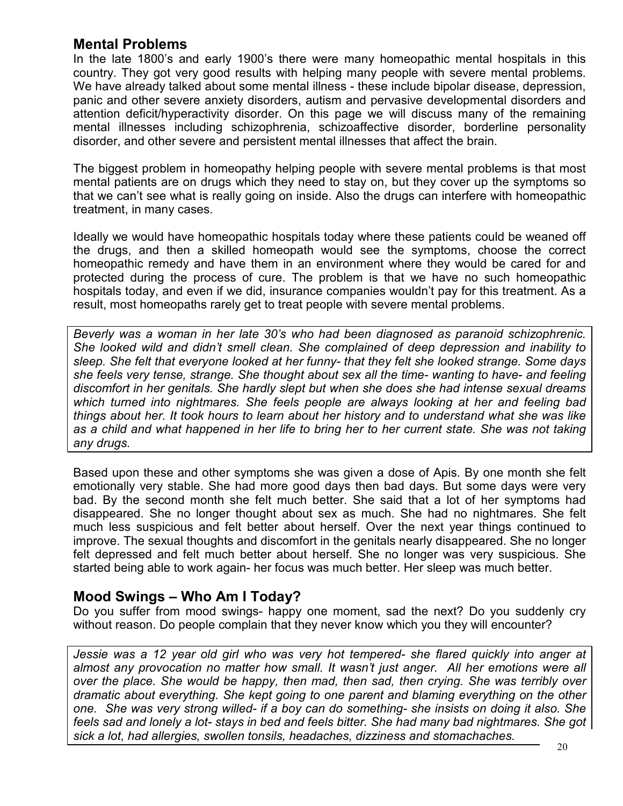### **Mental Problems**

In the late 1800's and early 1900's there were many homeopathic mental hospitals in this country. They got very good results with helping many people with severe mental problems. We have already talked about some mental illness - these include bipolar disease, depression, panic and other severe anxiety disorders, autism and pervasive developmental disorders and attention deficit/hyperactivity disorder. On this page we will discuss many of the remaining mental illnesses including schizophrenia, schizoaffective disorder, borderline personality disorder, and other severe and persistent mental illnesses that affect the brain.

The biggest problem in homeopathy helping people with severe mental problems is that most mental patients are on drugs which they need to stay on, but they cover up the symptoms so that we can't see what is really going on inside. Also the drugs can interfere with homeopathic treatment, in many cases.

Ideally we would have homeopathic hospitals today where these patients could be weaned off the drugs, and then a skilled homeopath would see the symptoms, choose the correct homeopathic remedy and have them in an environment where they would be cared for and protected during the process of cure. The problem is that we have no such homeopathic hospitals today, and even if we did, insurance companies wouldn't pay for this treatment. As a result, most homeopaths rarely get to treat people with severe mental problems.

*Beverly was a woman in her late 30's who had been diagnosed as paranoid schizophrenic. She looked wild and didn't smell clean. She complained of deep depression and inability to sleep. She felt that everyone looked at her funny- that they felt she looked strange. Some days she feels very tense, strange. She thought about sex all the time- wanting to have- and feeling discomfort in her genitals. She hardly slept but when she does she had intense sexual dreams which turned into nightmares. She feels people are always looking at her and feeling bad things about her. It took hours to learn about her history and to understand what she was like as a child and what happened in her life to bring her to her current state. She was not taking any drugs.* 

Based upon these and other symptoms she was given a dose of Apis. By one month she felt emotionally very stable. She had more good days then bad days. But some days were very bad. By the second month she felt much better. She said that a lot of her symptoms had disappeared. She no longer thought about sex as much. She had no nightmares. She felt much less suspicious and felt better about herself. Over the next year things continued to improve. The sexual thoughts and discomfort in the genitals nearly disappeared. She no longer felt depressed and felt much better about herself. She no longer was very suspicious. She started being able to work again- her focus was much better. Her sleep was much better.

## **Mood Swings – Who Am I Today?**

Do you suffer from mood swings- happy one moment, sad the next? Do you suddenly cry without reason. Do people complain that they never know which you they will encounter?

*Jessie was a 12 year old girl who was very hot tempered- she flared quickly into anger at almost any provocation no matter how small. It wasn't just anger. All her emotions were all over the place. She would be happy, then mad, then sad, then crying. She was terribly over dramatic about everything. She kept going to one parent and blaming everything on the other one. She was very strong willed- if a boy can do something- she insists on doing it also. She feels sad and lonely a lot- stays in bed and feels bitter. She had many bad nightmares. She got sick a lot, had allergies, swollen tonsils, headaches, dizziness and stomachaches.*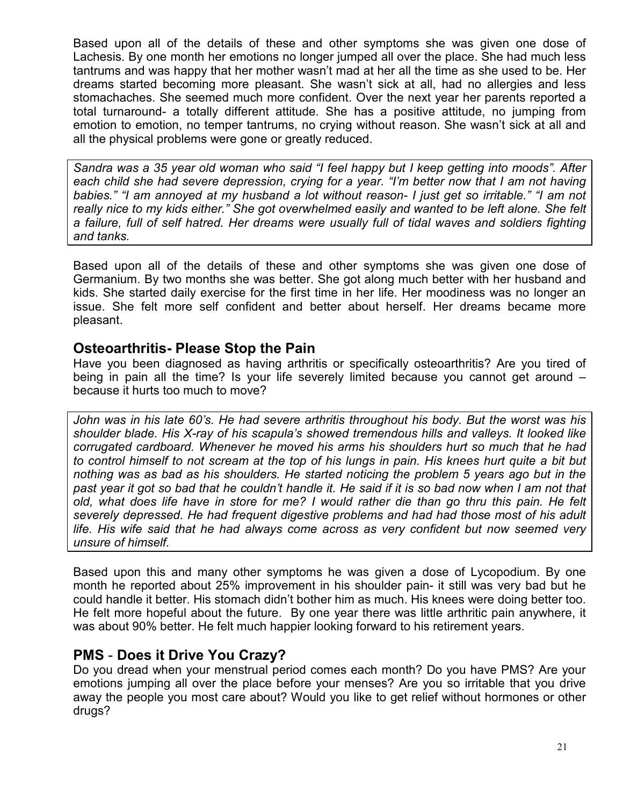Based upon all of the details of these and other symptoms she was given one dose of Lachesis. By one month her emotions no longer jumped all over the place. She had much less tantrums and was happy that her mother wasn't mad at her all the time as she used to be. Her dreams started becoming more pleasant. She wasn't sick at all, had no allergies and less stomachaches. She seemed much more confident. Over the next year her parents reported a total turnaround- a totally different attitude. She has a positive attitude, no jumping from emotion to emotion, no temper tantrums, no crying without reason. She wasn't sick at all and all the physical problems were gone or greatly reduced.

*Sandra was a 35 year old woman who said "I feel happy but I keep getting into moods". After each child she had severe depression, crying for a year. "I'm better now that I am not having babies." "I am annoyed at my husband a lot without reason- I just get so irritable." "I am not really nice to my kids either." She got overwhelmed easily and wanted to be left alone. She felt a failure, full of self hatred. Her dreams were usually full of tidal waves and soldiers fighting and tanks.* 

Based upon all of the details of these and other symptoms she was given one dose of Germanium. By two months she was better. She got along much better with her husband and kids. She started daily exercise for the first time in her life. Her moodiness was no longer an issue. She felt more self confident and better about herself. Her dreams became more pleasant.

### **Osteoarthritis- Please Stop the Pain**

Have you been diagnosed as having arthritis or specifically osteoarthritis? Are you tired of being in pain all the time? Is your life severely limited because you cannot get around – because it hurts too much to move?

*John was in his late 60's. He had severe arthritis throughout his body. But the worst was his shoulder blade. His X-ray of his scapula's showed tremendous hills and valleys. It looked like corrugated cardboard. Whenever he moved his arms his shoulders hurt so much that he had to control himself to not scream at the top of his lungs in pain. His knees hurt quite a bit but nothing was as bad as his shoulders. He started noticing the problem 5 years ago but in the*  past year it got so bad that he couldn't handle it. He said if it is so bad now when I am not that *old, what does life have in store for me? I would rather die than go thru this pain. He felt severely depressed. He had frequent digestive problems and had had those most of his adult life. His wife said that he had always come across as very confident but now seemed very unsure of himself.* 

Based upon this and many other symptoms he was given a dose of Lycopodium. By one month he reported about 25% improvement in his shoulder pain- it still was very bad but he could handle it better. His stomach didn't bother him as much. His knees were doing better too. He felt more hopeful about the future. By one year there was little arthritic pain anywhere, it was about 90% better. He felt much happier looking forward to his retirement years.

## **PMS** - **Does it Drive You Crazy?**

Do you dread when your menstrual period comes each month? Do you have PMS? Are your emotions jumping all over the place before your menses? Are you so irritable that you drive away the people you most care about? Would you like to get relief without hormones or other drugs?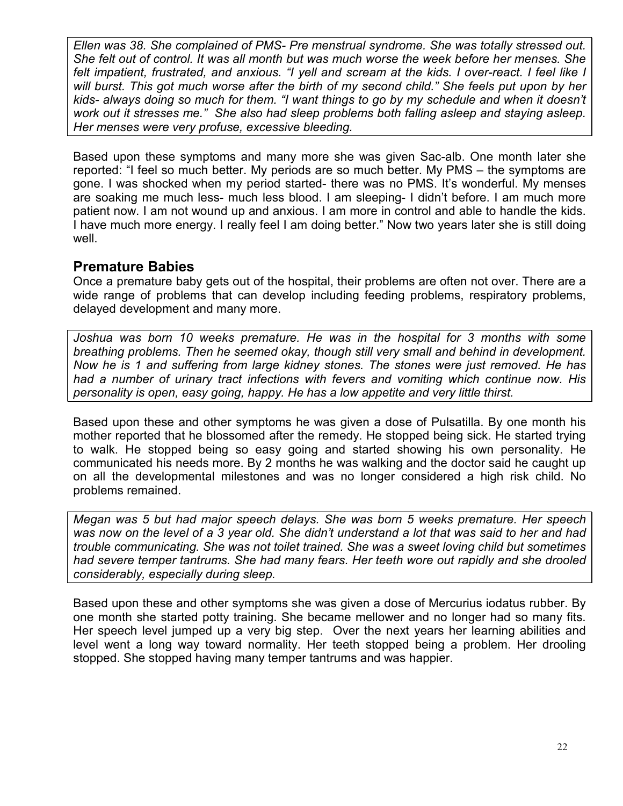*Ellen was 38. She complained of PMS- Pre menstrual syndrome. She was totally stressed out. She felt out of control. It was all month but was much worse the week before her menses. She felt impatient, frustrated, and anxious. "I yell and scream at the kids. I over-react. I feel like I will burst. This got much worse after the birth of my second child." She feels put upon by her kids- always doing so much for them. "I want things to go by my schedule and when it doesn't work out it stresses me." She also had sleep problems both falling asleep and staying asleep. Her menses were very profuse, excessive bleeding.* 

Based upon these symptoms and many more she was given Sac-alb. One month later she reported: "I feel so much better. My periods are so much better. My PMS – the symptoms are gone. I was shocked when my period started- there was no PMS. It's wonderful. My menses are soaking me much less- much less blood. I am sleeping- I didn't before. I am much more patient now. I am not wound up and anxious. I am more in control and able to handle the kids. I have much more energy. I really feel I am doing better." Now two years later she is still doing well.

#### **Premature Babies**

Once a premature baby gets out of the hospital, their problems are often not over. There are a wide range of problems that can develop including feeding problems, respiratory problems, delayed development and many more.

Joshua was born 10 weeks premature. He was in the hospital for 3 months with some *breathing problems. Then he seemed okay, though still very small and behind in development. Now he is 1 and suffering from large kidney stones. The stones were just removed. He has had a number of urinary tract infections with fevers and vomiting which continue now. His personality is open, easy going, happy. He has a low appetite and very little thirst.* 

Based upon these and other symptoms he was given a dose of Pulsatilla. By one month his mother reported that he blossomed after the remedy. He stopped being sick. He started trying to walk. He stopped being so easy going and started showing his own personality. He communicated his needs more. By 2 months he was walking and the doctor said he caught up on all the developmental milestones and was no longer considered a high risk child. No problems remained.

*Megan was 5 but had major speech delays. She was born 5 weeks premature. Her speech was now on the level of a 3 year old. She didn't understand a lot that was said to her and had trouble communicating. She was not toilet trained. She was a sweet loving child but sometimes had severe temper tantrums. She had many fears. Her teeth wore out rapidly and she drooled considerably, especially during sleep.* 

Based upon these and other symptoms she was given a dose of Mercurius iodatus rubber. By one month she started potty training. She became mellower and no longer had so many fits. Her speech level jumped up a very big step. Over the next years her learning abilities and level went a long way toward normality. Her teeth stopped being a problem. Her drooling stopped. She stopped having many temper tantrums and was happier.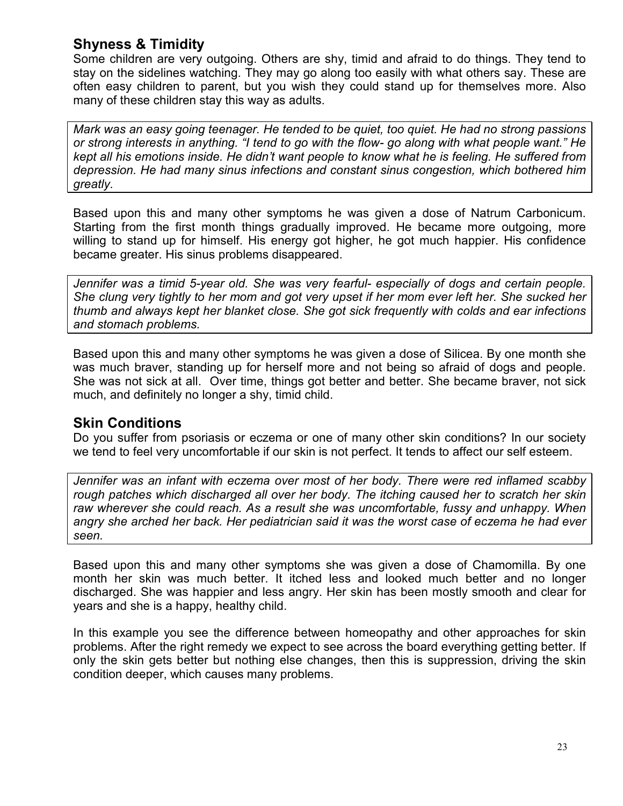# **Shyness & Timidity**

Some children are very outgoing. Others are shy, timid and afraid to do things. They tend to stay on the sidelines watching. They may go along too easily with what others say. These are often easy children to parent, but you wish they could stand up for themselves more. Also many of these children stay this way as adults.

*Mark was an easy going teenager. He tended to be quiet, too quiet. He had no strong passions or strong interests in anything. "I tend to go with the flow- go along with what people want." He kept all his emotions inside. He didn't want people to know what he is feeling. He suffered from depression. He had many sinus infections and constant sinus congestion, which bothered him greatly.* 

Based upon this and many other symptoms he was given a dose of Natrum Carbonicum. Starting from the first month things gradually improved. He became more outgoing, more willing to stand up for himself. His energy got higher, he got much happier. His confidence became greater. His sinus problems disappeared.

*Jennifer was a timid 5-year old. She was very fearful- especially of dogs and certain people. She clung very tightly to her mom and got very upset if her mom ever left her. She sucked her thumb and always kept her blanket close. She got sick frequently with colds and ear infections and stomach problems.* 

Based upon this and many other symptoms he was given a dose of Silicea. By one month she was much braver, standing up for herself more and not being so afraid of dogs and people. She was not sick at all. Over time, things got better and better. She became braver, not sick much, and definitely no longer a shy, timid child.

## **Skin Conditions**

Do you suffer from psoriasis or eczema or one of many other skin conditions? In our society we tend to feel very uncomfortable if our skin is not perfect. It tends to affect our self esteem.

*Jennifer was an infant with eczema over most of her body. There were red inflamed scabby rough patches which discharged all over her body. The itching caused her to scratch her skin raw wherever she could reach. As a result she was uncomfortable, fussy and unhappy. When angry she arched her back. Her pediatrician said it was the worst case of eczema he had ever seen.* 

Based upon this and many other symptoms she was given a dose of Chamomilla. By one month her skin was much better. It itched less and looked much better and no longer discharged. She was happier and less angry. Her skin has been mostly smooth and clear for years and she is a happy, healthy child.

In this example you see the difference between homeopathy and other approaches for skin problems. After the right remedy we expect to see across the board everything getting better. If only the skin gets better but nothing else changes, then this is suppression, driving the skin condition deeper, which causes many problems.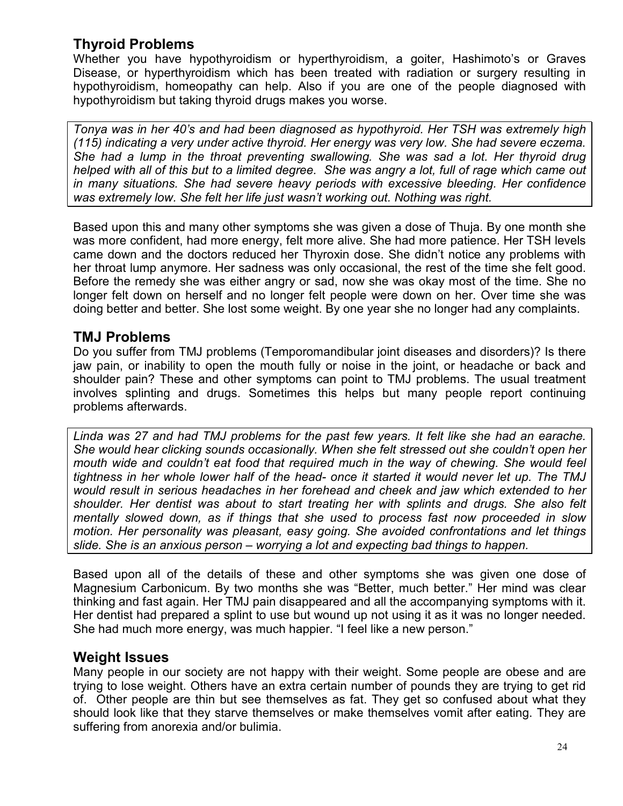# **Thyroid Problems**

Whether you have hypothyroidism or hyperthyroidism, a goiter, Hashimoto's or Graves Disease, or hyperthyroidism which has been treated with radiation or surgery resulting in hypothyroidism, homeopathy can help. Also if you are one of the people diagnosed with hypothyroidism but taking thyroid drugs makes you worse.

*Tonya was in her 40's and had been diagnosed as hypothyroid. Her TSH was extremely high (115) indicating a very under active thyroid. Her energy was very low. She had severe eczema. She had a lump in the throat preventing swallowing. She was sad a lot. Her thyroid drug helped with all of this but to a limited degree. She was angry a lot, full of rage which came out in many situations. She had severe heavy periods with excessive bleeding. Her confidence was extremely low. She felt her life just wasn't working out. Nothing was right.* 

Based upon this and many other symptoms she was given a dose of Thuja. By one month she was more confident, had more energy, felt more alive. She had more patience. Her TSH levels came down and the doctors reduced her Thyroxin dose. She didn't notice any problems with her throat lump anymore. Her sadness was only occasional, the rest of the time she felt good. Before the remedy she was either angry or sad, now she was okay most of the time. She no longer felt down on herself and no longer felt people were down on her. Over time she was doing better and better. She lost some weight. By one year she no longer had any complaints.

## **TMJ Problems**

Do you suffer from TMJ problems (Temporomandibular joint diseases and disorders)? Is there jaw pain, or inability to open the mouth fully or noise in the joint, or headache or back and shoulder pain? These and other symptoms can point to TMJ problems. The usual treatment involves splinting and drugs. Sometimes this helps but many people report continuing problems afterwards.

*Linda was 27 and had TMJ problems for the past few years. It felt like she had an earache. She would hear clicking sounds occasionally. When she felt stressed out she couldn't open her mouth wide and couldn't eat food that required much in the way of chewing. She would feel tightness in her whole lower half of the head- once it started it would never let up. The TMJ would result in serious headaches in her forehead and cheek and jaw which extended to her shoulder. Her dentist was about to start treating her with splints and drugs. She also felt mentally slowed down, as if things that she used to process fast now proceeded in slow motion. Her personality was pleasant, easy going. She avoided confrontations and let things slide. She is an anxious person – worrying a lot and expecting bad things to happen.* 

Based upon all of the details of these and other symptoms she was given one dose of Magnesium Carbonicum. By two months she was "Better, much better." Her mind was clear thinking and fast again. Her TMJ pain disappeared and all the accompanying symptoms with it. Her dentist had prepared a splint to use but wound up not using it as it was no longer needed. She had much more energy, was much happier. "I feel like a new person."

## **Weight Issues**

Many people in our society are not happy with their weight. Some people are obese and are trying to lose weight. Others have an extra certain number of pounds they are trying to get rid of. Other people are thin but see themselves as fat. They get so confused about what they should look like that they starve themselves or make themselves vomit after eating. They are suffering from anorexia and/or bulimia.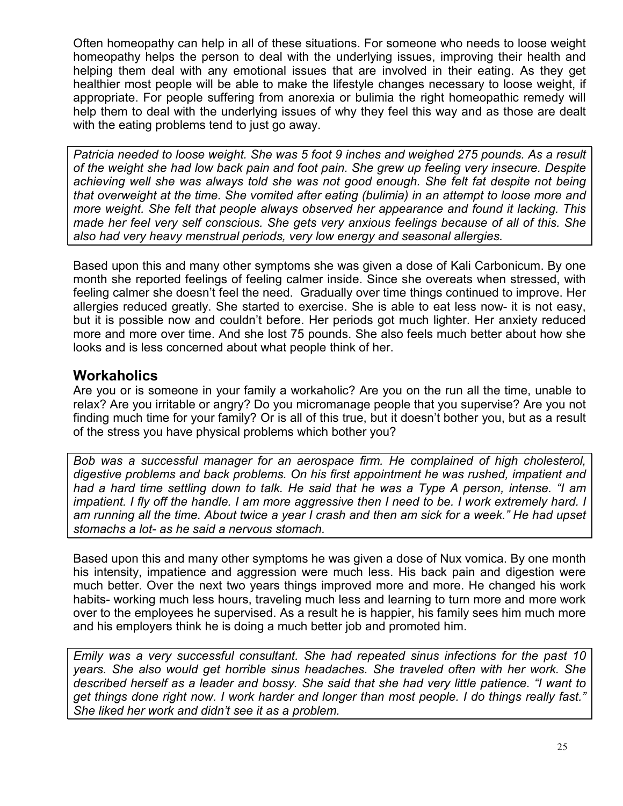Often homeopathy can help in all of these situations. For someone who needs to loose weight homeopathy helps the person to deal with the underlying issues, improving their health and helping them deal with any emotional issues that are involved in their eating. As they get healthier most people will be able to make the lifestyle changes necessary to loose weight, if appropriate. For people suffering from anorexia or bulimia the right homeopathic remedy will help them to deal with the underlying issues of why they feel this way and as those are dealt with the eating problems tend to just go away.

*Patricia needed to loose weight. She was 5 foot 9 inches and weighed 275 pounds. As a result of the weight she had low back pain and foot pain. She grew up feeling very insecure. Despite achieving well she was always told she was not good enough. She felt fat despite not being that overweight at the time. She vomited after eating (bulimia) in an attempt to loose more and more weight. She felt that people always observed her appearance and found it lacking. This made her feel very self conscious. She gets very anxious feelings because of all of this. She also had very heavy menstrual periods, very low energy and seasonal allergies.* 

Based upon this and many other symptoms she was given a dose of Kali Carbonicum. By one month she reported feelings of feeling calmer inside. Since she overeats when stressed, with feeling calmer she doesn't feel the need. Gradually over time things continued to improve. Her allergies reduced greatly. She started to exercise. She is able to eat less now- it is not easy, but it is possible now and couldn't before. Her periods got much lighter. Her anxiety reduced more and more over time. And she lost 75 pounds. She also feels much better about how she looks and is less concerned about what people think of her.

## **Workaholics**

Are you or is someone in your family a workaholic? Are you on the run all the time, unable to relax? Are you irritable or angry? Do you micromanage people that you supervise? Are you not finding much time for your family? Or is all of this true, but it doesn't bother you, but as a result of the stress you have physical problems which bother you?

*Bob was a successful manager for an aerospace firm. He complained of high cholesterol, digestive problems and back problems. On his first appointment he was rushed, impatient and had a hard time settling down to talk. He said that he was a Type A person, intense. "I am impatient. I fly off the handle. I am more aggressive then I need to be. I work extremely hard. I am running all the time. About twice a year I crash and then am sick for a week." He had upset stomachs a lot- as he said a nervous stomach.* 

Based upon this and many other symptoms he was given a dose of Nux vomica. By one month his intensity, impatience and aggression were much less. His back pain and digestion were much better. Over the next two years things improved more and more. He changed his work habits- working much less hours, traveling much less and learning to turn more and more work over to the employees he supervised. As a result he is happier, his family sees him much more and his employers think he is doing a much better job and promoted him.

*Emily was a very successful consultant. She had repeated sinus infections for the past 10 years. She also would get horrible sinus headaches. She traveled often with her work. She described herself as a leader and bossy. She said that she had very little patience. "I want to get things done right now. I work harder and longer than most people. I do things really fast." She liked her work and didn't see it as a problem.*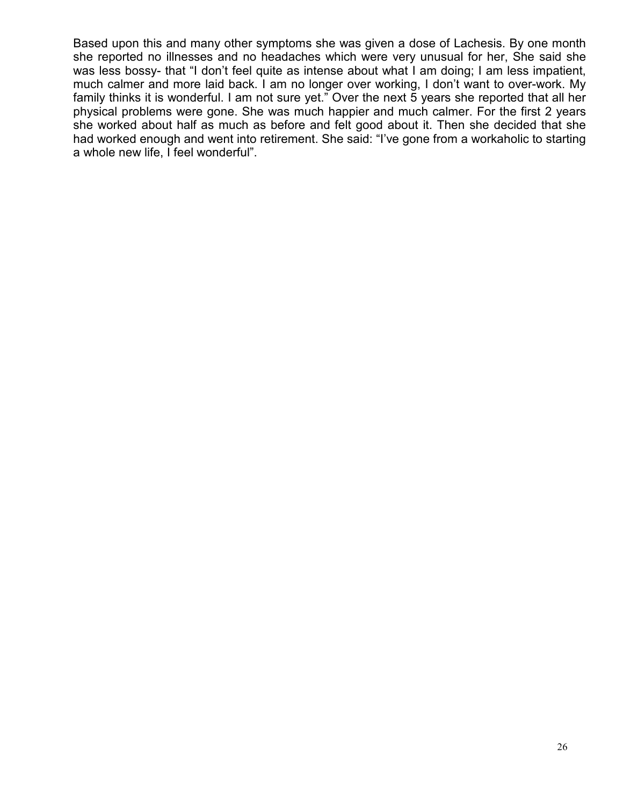Based upon this and many other symptoms she was given a dose of Lachesis. By one month she reported no illnesses and no headaches which were very unusual for her, She said she was less bossy- that "I don't feel quite as intense about what I am doing; I am less impatient, much calmer and more laid back. I am no longer over working, I don't want to over-work. My family thinks it is wonderful. I am not sure yet." Over the next 5 years she reported that all her physical problems were gone. She was much happier and much calmer. For the first 2 years she worked about half as much as before and felt good about it. Then she decided that she had worked enough and went into retirement. She said: "I've gone from a workaholic to starting a whole new life, I feel wonderful".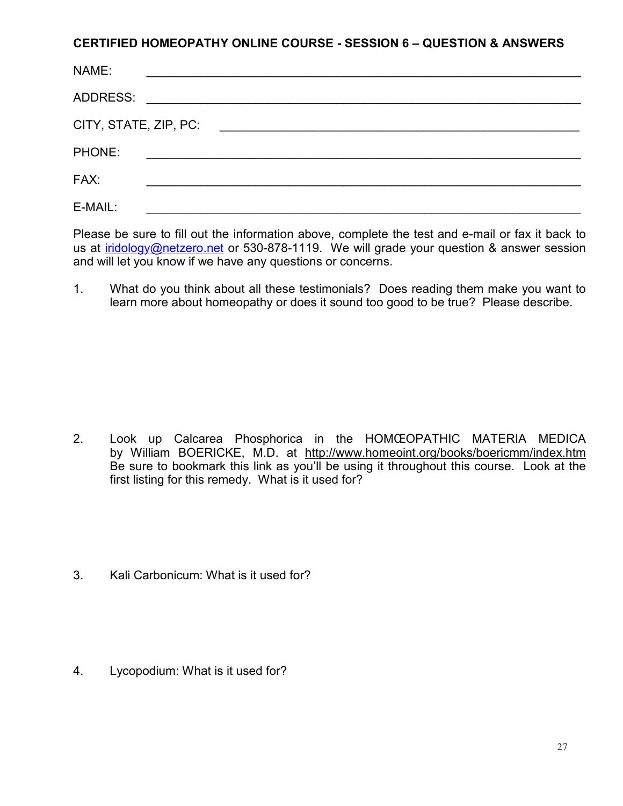#### **CERTIFIED HOMEOPATHY ONLINE COURSE - SESSION 6 – QUESTION & ANSWERS**

| NAME:                 |  |  |
|-----------------------|--|--|
| ADDRESS:              |  |  |
| CITY, STATE, ZIP, PC: |  |  |
| PHONE:                |  |  |
| FAX:                  |  |  |
| E-MAIL:               |  |  |

Please be sure to fill out the information above, complete the test and e-mail or fax it back to us at iridology@netzero.net or 530-878-1119. We will grade your question & answer session and will let you know if we have any questions or concerns.

1. What do you think about all these testimonials? Does reading them make you want to learn more about homeopathy or does it sound too good to be true? Please describe.

- 2. Look up Calcarea Phosphorica in the HOMŒOPATHIC MATERIA MEDICA by William BOERICKE, M.D. at http://www.homeoint.org/books/boericmm/index.htm Be sure to bookmark this link as you'll be using it throughout this course. Look at the first listing for this remedy. What is it used for?
- 3. Kali Carbonicum: What is it used for?

4. Lycopodium: What is it used for?